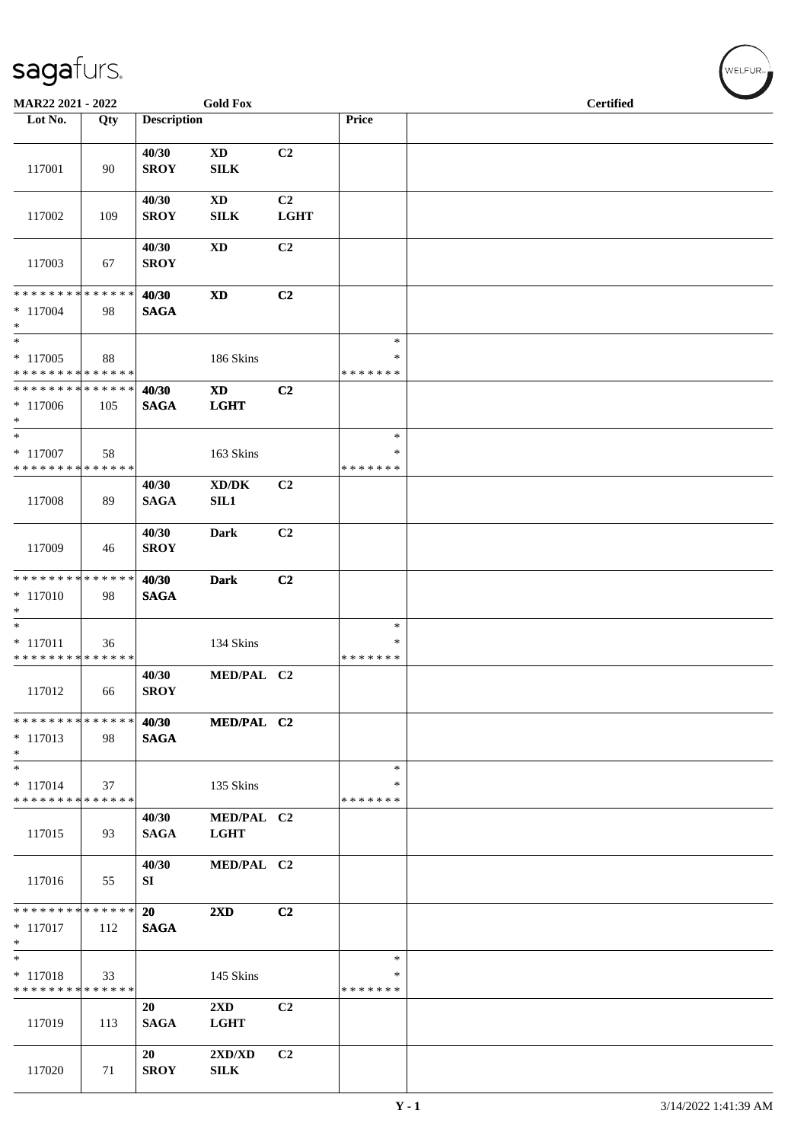| MAR22 2021 - 2022                                                     |     |                          | <b>Gold Fox</b>                            |                               |                                   | <b>Certified</b> |  |
|-----------------------------------------------------------------------|-----|--------------------------|--------------------------------------------|-------------------------------|-----------------------------------|------------------|--|
| Lot No.                                                               | Qty | <b>Description</b>       |                                            |                               | Price                             |                  |  |
| 117001                                                                | 90  | 40/30<br><b>SROY</b>     | $\mathbf{X}\mathbf{D}$<br>SILK             | C2                            |                                   |                  |  |
| 117002                                                                | 109 | 40/30<br><b>SROY</b>     | <b>XD</b><br><b>SILK</b>                   | C <sub>2</sub><br><b>LGHT</b> |                                   |                  |  |
| 117003                                                                | 67  | 40/30<br><b>SROY</b>     | $\mathbf{X}\mathbf{D}$                     | C <sub>2</sub>                |                                   |                  |  |
| **************<br>$* 117004$<br>$\ast$                                | 98  | 40/30<br><b>SAGA</b>     | $\mathbf{X}\mathbf{D}$                     | C2                            |                                   |                  |  |
| $_{\ast}^{-}$<br>$*117005$<br>* * * * * * * * * * * * * *             | 88  |                          | 186 Skins                                  |                               | $\ast$<br>∗<br>* * * * * * *      |                  |  |
| * * * * * * * * * * * * * *<br>$*117006$<br>$\ast$                    | 105 | 40/30<br><b>SAGA</b>     | $\mathbf{X}\mathbf{D}$<br><b>LGHT</b>      | C2                            |                                   |                  |  |
| $\overline{\phantom{1}}$<br>$* 117007$<br>* * * * * * * * * * * * * * | 58  |                          | 163 Skins                                  |                               | $\ast$<br>∗<br>* * * * * * *      |                  |  |
| 117008                                                                | 89  | 40/30<br><b>SAGA</b>     | $\bold{X}\bold{D}/\bold{D}\bold{K}$<br>SL1 | C2                            |                                   |                  |  |
| 117009                                                                | 46  | 40/30<br><b>SROY</b>     | Dark                                       | C <sub>2</sub>                |                                   |                  |  |
| **************<br>$* 117010$<br>$\ast$                                | 98  | 40/30<br><b>SAGA</b>     | <b>Dark</b>                                | C2                            |                                   |                  |  |
| $\overline{\phantom{1}}$<br>$* 117011$<br>* * * * * * * * * * * * * * | 36  |                          | 134 Skins                                  |                               | $\ast$<br>∗<br>* * * * * * *      |                  |  |
| 117012                                                                | 66  | 40/30<br><b>SROY</b>     | MED/PAL C2                                 |                               |                                   |                  |  |
| * * * * * * * * * * * * * *<br>$*117013$<br>$\ast$                    | 98  | 40/30<br><b>SAGA</b>     | MED/PAL C2                                 |                               |                                   |                  |  |
| $\ast$<br>$* 117014$<br>* * * * * * * * * * * * * *                   | 37  |                          | 135 Skins                                  |                               | $\ast$<br>∗<br>* * * * * * *      |                  |  |
| 117015                                                                | 93  | 40/30<br><b>SAGA</b>     | MED/PAL C2<br><b>LGHT</b>                  |                               |                                   |                  |  |
| 117016                                                                | 55  | 40/30<br>SI              | MED/PAL C2                                 |                               |                                   |                  |  |
| * * * * * * * * * * * * * *<br>$*117017$<br>$\ast$                    | 112 | <b>20</b><br><b>SAGA</b> | $2\mathbf{X}\mathbf{D}$                    | C <sub>2</sub>                |                                   |                  |  |
| $\ast$<br>$* 117018$<br>* * * * * * * * * * * * * *                   | 33  |                          | 145 Skins                                  |                               | $\ast$<br>$\ast$<br>* * * * * * * |                  |  |
| 117019                                                                | 113 | 20<br><b>SAGA</b>        | $2\mathbf{X}\mathbf{D}$<br><b>LGHT</b>     | C <sub>2</sub>                |                                   |                  |  |
| 117020                                                                | 71  | 20<br><b>SROY</b>        | 2XD/XD<br><b>SILK</b>                      | C2                            |                                   |                  |  |

WELFUR<sub><sup>N</sub></sub></sub></sup>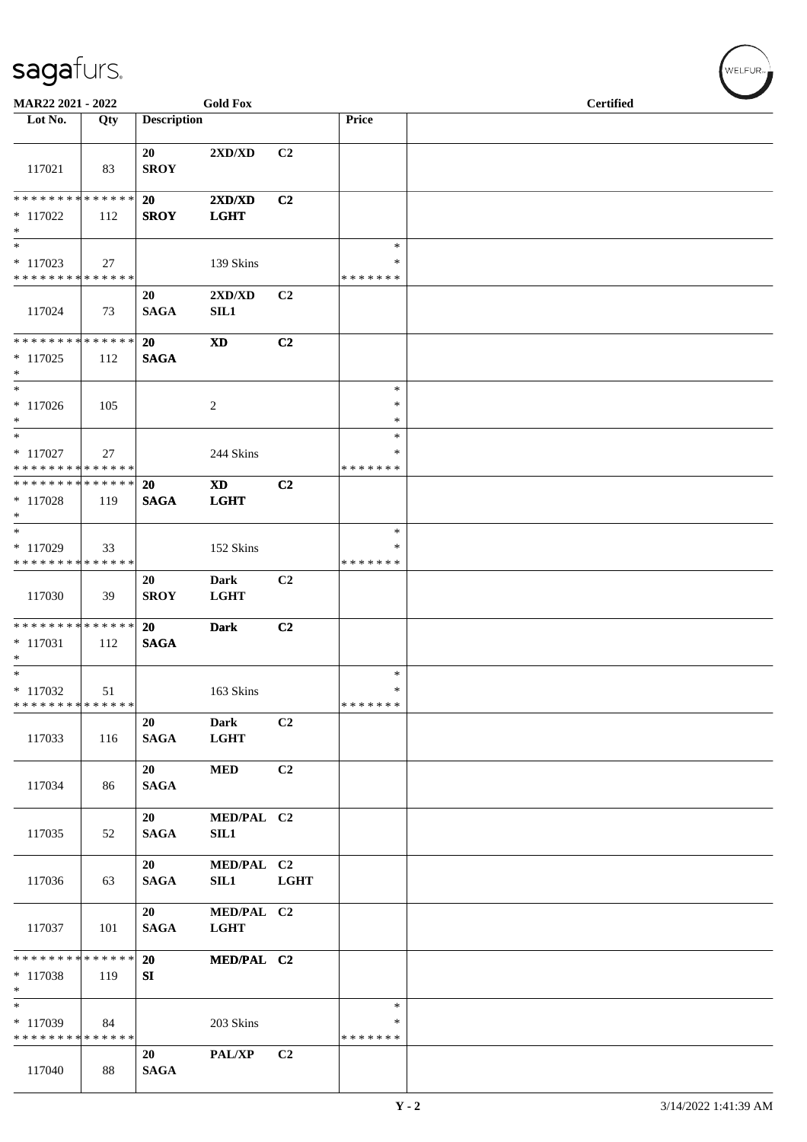| MAR22 2021 - 2022                                   |     |                    | <b>Gold Fox</b>                                 |                |                                   | <b>Certified</b> |
|-----------------------------------------------------|-----|--------------------|-------------------------------------------------|----------------|-----------------------------------|------------------|
| Lot No.                                             | Qty | <b>Description</b> |                                                 |                | Price                             |                  |
| 117021                                              | 83  | 20<br><b>SROY</b>  | $2{\bf X}{\bf D}/{\bf X}{\bf D}$                | C2             |                                   |                  |
| ******** <mark>******</mark><br>$*117022$           | 112 | 20<br><b>SROY</b>  | $2{\bf X}{\bf D}/{\bf X}{\bf D}$<br><b>LGHT</b> | C2             |                                   |                  |
| $*$<br>$\ast$                                       |     |                    |                                                 |                | $\ast$                            |                  |
| $* 117023$<br>* * * * * * * * * * * * * *           | 27  |                    | 139 Skins                                       |                | $\ast$<br>* * * * * * *           |                  |
| 117024                                              | 73  | 20<br><b>SAGA</b>  | 2XD/XD<br>SL1                                   | C2             |                                   |                  |
| ******** <mark>******</mark><br>$*117025$<br>$\ast$ | 112 | 20<br><b>SAGA</b>  | <b>XD</b>                                       | C2             |                                   |                  |
| $*$<br>$*117026$<br>$\ast$                          | 105 |                    | $\overline{2}$                                  |                | $\ast$<br>∗<br>*                  |                  |
| $\ast$<br>$*$ 117027<br>* * * * * * * * * * * * * * | 27  |                    | 244 Skins                                       |                | $\ast$<br>∗<br>* * * * * * *      |                  |
| * * * * * * * * * * * * * *<br>$*117028$<br>$*$     | 119 | 20<br><b>SAGA</b>  | <b>XD</b><br><b>LGHT</b>                        | C2             |                                   |                  |
| $\ast$<br>$*117029$<br>* * * * * * * * * * * * * *  | 33  |                    | 152 Skins                                       |                | $\ast$<br>*<br>* * * * * * *      |                  |
| 117030                                              | 39  | 20<br><b>SROY</b>  | <b>Dark</b><br><b>LGHT</b>                      | C2             |                                   |                  |
| * * * * * * * * * * * * * *<br>$* 117031$<br>$\ast$ | 112 | 20<br><b>SAGA</b>  | <b>Dark</b>                                     | C2             |                                   |                  |
| $*$<br>* 117032<br>* * * * * * * * * * * * * *      | 51  |                    | 163 Skins                                       |                | $\ast$<br>$\ast$<br>* * * * * * * |                  |
| 117033                                              | 116 | 20<br><b>SAGA</b>  | <b>Dark</b><br><b>LGHT</b>                      | C2             |                                   |                  |
| 117034                                              | 86  | 20<br><b>SAGA</b>  | <b>MED</b>                                      | C2             |                                   |                  |
| 117035                                              | 52  | 20<br><b>SAGA</b>  | MED/PAL C2<br>SIL1                              |                |                                   |                  |
| 117036                                              | 63  | 20<br><b>SAGA</b>  | MED/PAL C2<br>SIL1                              | <b>LGHT</b>    |                                   |                  |
| 117037                                              | 101 | 20<br><b>SAGA</b>  | MED/PAL C2<br><b>LGHT</b>                       |                |                                   |                  |
| * * * * * * * * * * * * * * *<br>* 117038<br>$\ast$ | 119 | <b>20</b><br>SI    | MED/PAL C2                                      |                |                                   |                  |
| $\ast$<br>* 117039<br>* * * * * * * * * * * * * *   | 84  |                    | 203 Skins                                       |                | $\ast$<br>*<br>* * * * * * *      |                  |
| 117040                                              | 88  | 20<br><b>SAGA</b>  | PAL/XP                                          | C <sub>2</sub> |                                   |                  |

WELFUR<sub>\*</sub>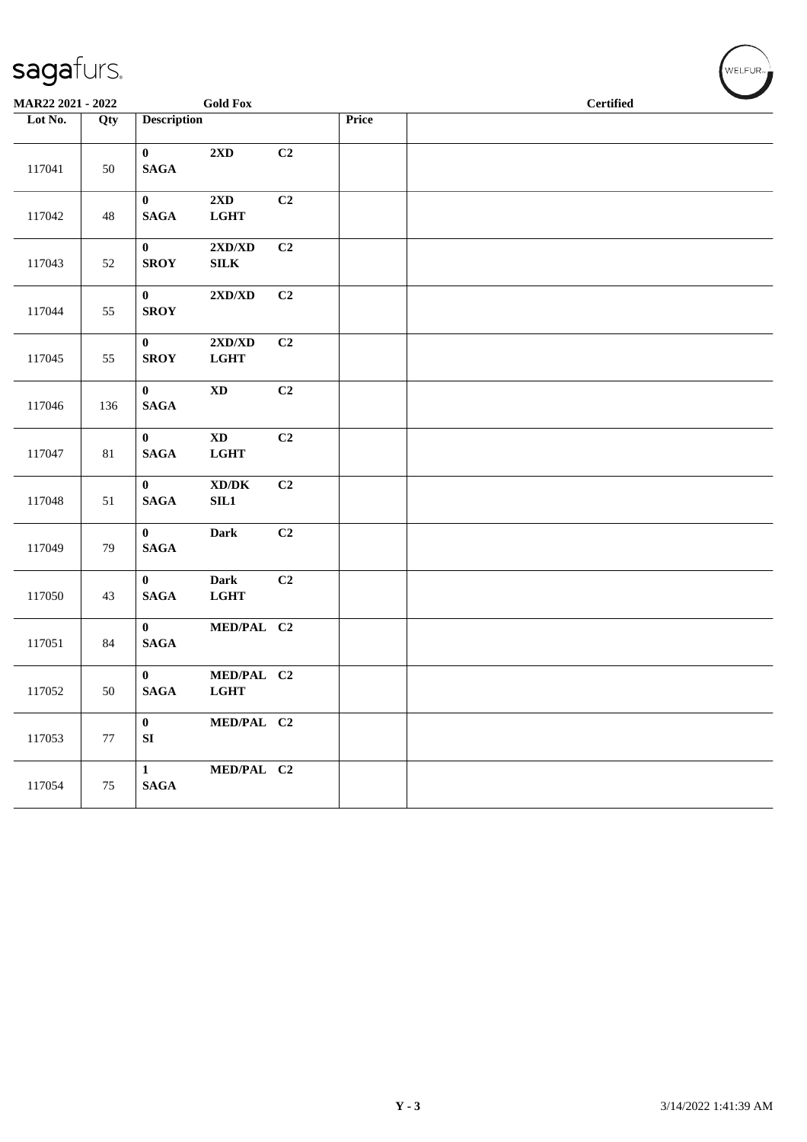| sagafurs. |
|-----------|
|-----------|

| MAR22 2021 - 2022 |        | <b>Gold Fox</b>                                                                  |       | <b>Certified</b> |
|-------------------|--------|----------------------------------------------------------------------------------|-------|------------------|
| Lot No.           | Qty    | <b>Description</b>                                                               | Price |                  |
| 117041            | 50     | 2XD<br>$\mathbf{0}$<br>$\mathbf{SAGA}$                                           | C2    |                  |
| 117042            | 48     | $\mathbf{0}$<br>2XD<br>$\mathbf{SAGA}$<br>$_{\rm LGHT}$                          | C2    |                  |
| 117043            | 52     | $\bf{0}$<br>$2{\bf X}{\bf D}/{\bf X}{\bf D}$<br><b>SROY</b><br>${\bf SILK}$      | C2    |                  |
| 117044            | 55     | $2{\bf X}{\bf D}/{\bf X}{\bf D}$<br>$\bf{0}$<br><b>SROY</b>                      | C2    |                  |
| 117045            | 55     | $\mathbf{0}$<br>$2{\bf X}{\bf D}/{\bf X}{\bf D}$<br><b>SROY</b><br>$_{\rm LGHT}$ | C2    |                  |
| 117046            | 136    | $\mathbf{0}$<br>$\mathbf{X}\mathbf{D}$<br>$\mathbf{SAGA}$                        | C2    |                  |
| 117047            | $81\,$ | $\mathbf{X}\mathbf{D}$<br>$\mathbf{0}$<br>$\mathbf{SAGA}$<br>$_{\rm LGHT}$       | C2    |                  |
| 117048            | 51     | $\mathbf{0}$<br>$\boldsymbol{\text{XD}/\text{DK}}$<br>$\mathbf{SAGA}$<br>SL1     | C2    |                  |
| 117049            | 79     | $\mathbf{0}$<br><b>Dark</b><br><b>SAGA</b>                                       | C2    |                  |
| 117050            | 43     | <b>Dark</b><br>$\bf{0}$<br><b>SAGA</b><br>$_{\rm LGHT}$                          | C2    |                  |
| 117051            | 84     | MED/PAL C2<br>$\mathbf{0}$<br><b>SAGA</b>                                        |       |                  |
| 117052            | 50     | $\mathbf{0}$<br>MED/PAL C2<br>$\mathbf{SAGA}$<br><b>LGHT</b>                     |       |                  |
| 117053            | $77\,$ | $\mathbf{0}$<br>MED/PAL C2<br>${\bf S}{\bf I}$                                   |       |                  |
| 117054            | 75     | $\mathbf{1}$<br>MED/PAL C2<br>$\mathbf{SAGA}$                                    |       |                  |

 $\left(\begin{matrix} \begin{matrix} 1 & 0 \\ 0 & 1 \end{matrix} \\ \begin{matrix} 0 & 1 \end{matrix} \\ \begin{matrix} 0 & 1 \end{matrix} \\ \begin{matrix} 0 & 1 \end{matrix} \\ \begin{matrix} 0 & 1 \end{matrix} \\ \begin{matrix} 0 & 1 \end{matrix} \\ \begin{matrix} 0 & 1 \end{matrix} \\ \begin{matrix} 0 & 1 \end{matrix} \\ \begin{matrix} 0 & 1 \end{matrix} \\ \begin{matrix} 0 & 1 \end{matrix} \\ \begin{matrix} 0 & 1 \end{matrix} \\ \begin{matrix} 0 & 1 \end{matrix} \\ \begin{matrix} 0 & 1 \end{matrix}$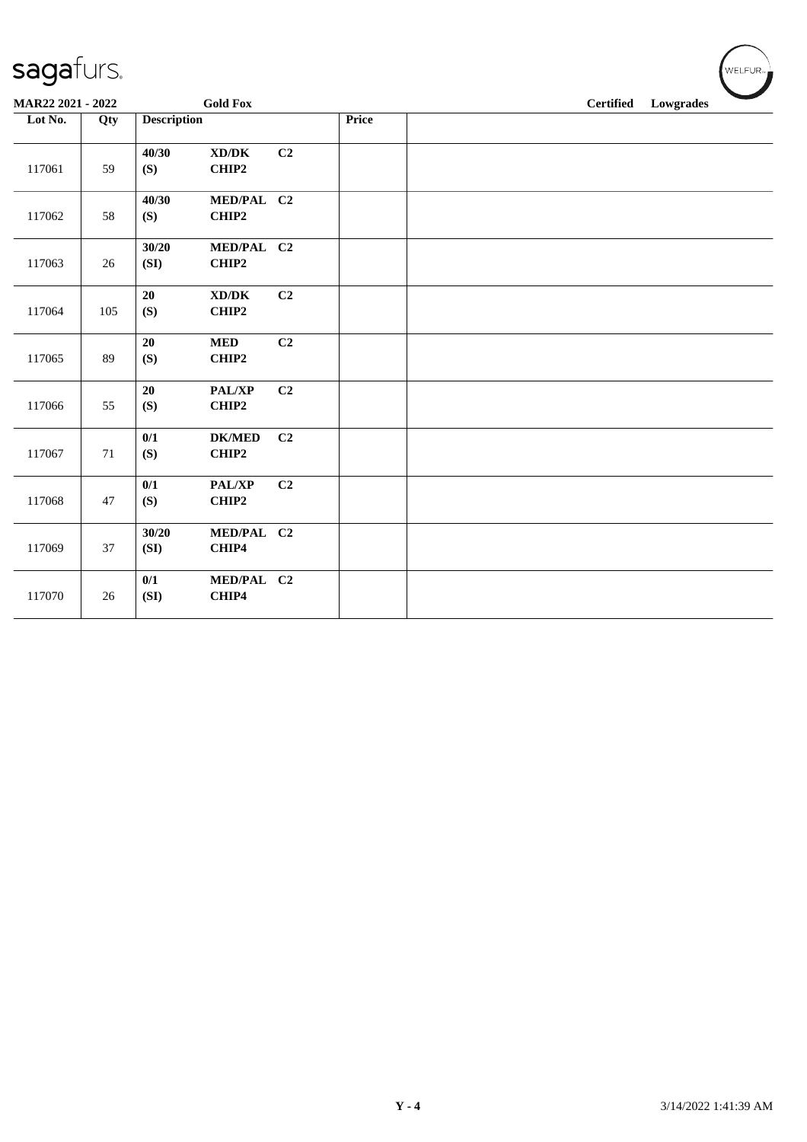| MAR22 2021 - 2022 |        |                    | <b>Gold Fox</b>                              |                |       | <b>Certified</b><br>Lowgrades |  |  |  |
|-------------------|--------|--------------------|----------------------------------------------|----------------|-------|-------------------------------|--|--|--|
| Lot No.           | Qty    | <b>Description</b> |                                              |                | Price |                               |  |  |  |
| 117061            | 59     | 40/30<br>(S)       | $\bold{X}\bold{D}/\bold{D}\bold{K}$<br>CHIP2 | C2             |       |                               |  |  |  |
| 117062            | 58     | 40/30<br>(S)       | MED/PAL C2<br>CHIP2                          |                |       |                               |  |  |  |
| 117063            | 26     | 30/20<br>(SI)      | MED/PAL C2<br>CHIP2                          |                |       |                               |  |  |  |
| 117064            | 105    | 20<br>(S)          | $\bold{X}\bold{D}/\bold{D}\bold{K}$<br>CHIP2 | C <sub>2</sub> |       |                               |  |  |  |
| 117065            | 89     | 20<br>(S)          | <b>MED</b><br>CHIP2                          | C2             |       |                               |  |  |  |
| 117066            | 55     | 20<br>(S)          | PAL/XP<br>CHIP2                              | C2             |       |                               |  |  |  |
| 117067            | 71     | 0/1<br>(S)         | <b>DK/MED</b><br>CHIP2                       | C2             |       |                               |  |  |  |
| 117068            | 47     | $0/1$<br>(S)       | PAL/XP<br>CHIP2                              | C <sub>2</sub> |       |                               |  |  |  |
| 117069            | 37     | 30/20<br>(SI)      | MED/PAL C2<br>CHIP4                          |                |       |                               |  |  |  |
| 117070            | $26\,$ | 0/1<br>(SI)        | MED/PAL C2<br>CHIP4                          |                |       |                               |  |  |  |

WELFUR<sub>"</sub>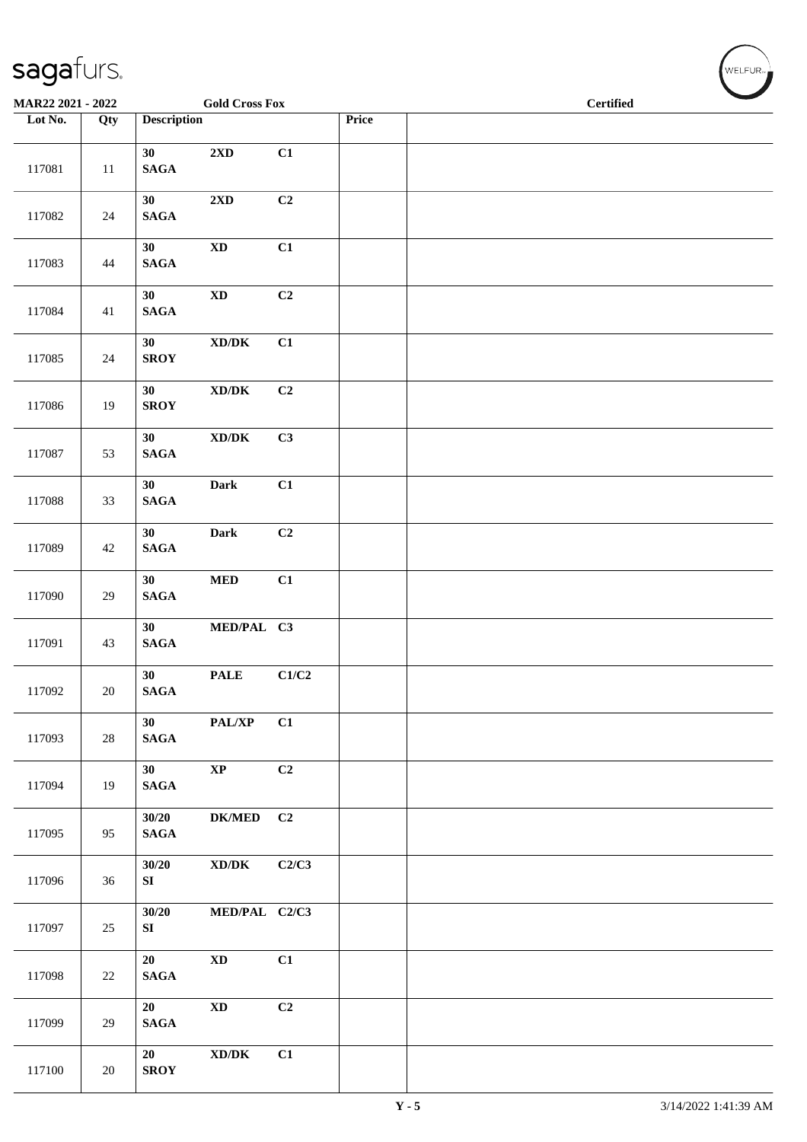| MAR22 2021 - 2022 |        |                                    | <b>Gold Cross Fox</b>                                            |       |       | <b>Certified</b> |  |  |  |  |
|-------------------|--------|------------------------------------|------------------------------------------------------------------|-------|-------|------------------|--|--|--|--|
| Lot No.           | Qty    | <b>Description</b>                 |                                                                  |       | Price |                  |  |  |  |  |
| 117081            | $11\,$ | 30<br><b>SAGA</b>                  | 2XD                                                              | C1    |       |                  |  |  |  |  |
| 117082            | $24\,$ | 30<br>$\mathbf{SAGA}$              | $2{\bf X}{\bf D}$                                                | C2    |       |                  |  |  |  |  |
| 117083            | 44     | 30<br><b>SAGA</b>                  | $\mathbf{X}\mathbf{D}$                                           | C1    |       |                  |  |  |  |  |
| 117084            | 41     | 30<br>$\mathbf{SAGA}$              | $\mathbf{X}\mathbf{D}$                                           | C2    |       |                  |  |  |  |  |
| 117085            | $24\,$ | 30<br><b>SROY</b>                  | $\boldsymbol{\text{XD}}\boldsymbol{/}\boldsymbol{\text{DK}}$     | C1    |       |                  |  |  |  |  |
| 117086            | 19     | 30<br><b>SROY</b>                  | $\bold{X}\bold{D}/\bold{D}\bold{K}$                              | C2    |       |                  |  |  |  |  |
| 117087            | 53     | 30<br>$\mathbf{SAGA}$              | $\boldsymbol{\text{XD} / \text{DK}}$                             | C3    |       |                  |  |  |  |  |
| 117088            | 33     | 30<br>$\mathbf{SAGA}$              | Dark                                                             | C1    |       |                  |  |  |  |  |
| 117089            | $42\,$ | 30<br>$\mathbf{SAGA}$              | Dark                                                             | C2    |       |                  |  |  |  |  |
| 117090            | $29\,$ | 30<br>$\mathbf{SAGA}$              | $\bf MED$                                                        | C1    |       |                  |  |  |  |  |
| 117091            | 43     | 30 <sup>°</sup><br>$\mathbf{SAGA}$ | MED/PAL C3                                                       |       |       |                  |  |  |  |  |
| 117092            | 20     | 30<br><b>SAGA</b>                  | <b>PALE</b>                                                      | C1/C2 |       |                  |  |  |  |  |
| 117093            | 28     | 30 <sup>°</sup><br>$\mathbf{SAGA}$ | PAL/XP                                                           | C1    |       |                  |  |  |  |  |
| 117094            | 19     | 30 <sup>°</sup><br>$\mathbf{SAGA}$ | $\bold{XP}$                                                      | C2    |       |                  |  |  |  |  |
| 117095            | 95     | 30/20<br>$\mathbf{SAGA}$           | <b>DK/MED</b>                                                    | C2    |       |                  |  |  |  |  |
| 117096            | 36     | 30/20<br>SI                        | $\boldsymbol{\mathrm{XD}}\boldsymbol{/}\boldsymbol{\mathrm{DK}}$ | C2/C3 |       |                  |  |  |  |  |
| 117097            | 25     | 30/20<br>SI                        | MED/PAL C2/C3                                                    |       |       |                  |  |  |  |  |
| 117098            | $22\,$ | 20<br><b>SAGA</b>                  | $\mathbf{X}\mathbf{D}$                                           | C1    |       |                  |  |  |  |  |
| 117099            | 29     | 20<br>$\mathbf{SAGA}$              | $\mathbf{X}\mathbf{D}$                                           | C2    |       |                  |  |  |  |  |
| 117100            | 20     | 20<br><b>SROY</b>                  | $\bold{X}\bold{D}/\bold{D}\bold{K}$                              | C1    |       |                  |  |  |  |  |

 $(\sqrt{\text{WELFUR}_{n}})$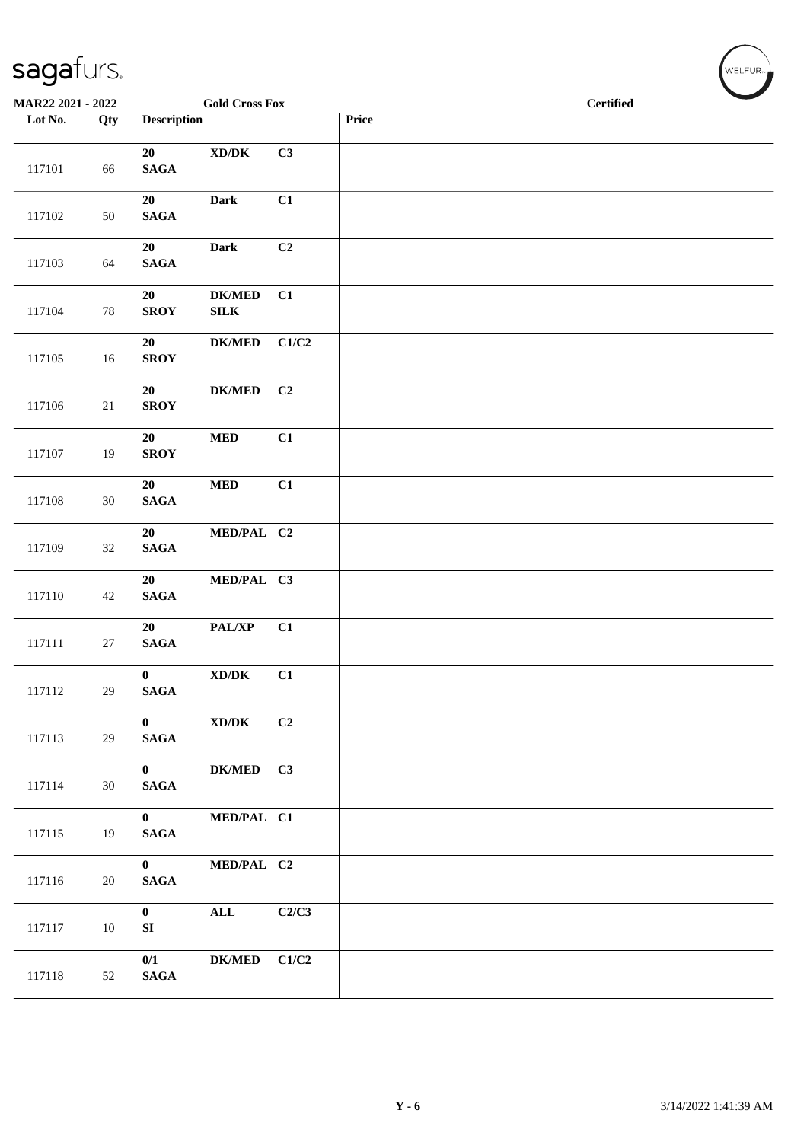| MAR22 2021 - 2022 |        |                                 | <b>Gold Cross Fox</b>                |       |       | <b>Certified</b> |
|-------------------|--------|---------------------------------|--------------------------------------|-------|-------|------------------|
| Lot No.           | Qty    | <b>Description</b>              |                                      |       | Price |                  |
| 117101            | 66     | 20<br>$\mathbf{SAGA}$           | $\bold{X}\bold{D}/\bold{D}\bold{K}$  | C3    |       |                  |
| 117102            | 50     | 20<br>$\mathbf{SAGA}$           | <b>Dark</b>                          | C1    |       |                  |
| 117103            | 64     | 20<br>$\mathbf{SAGA}$           | <b>Dark</b>                          | C2    |       |                  |
| 117104            | $78\,$ | 20<br><b>SROY</b>               | <b>DK/MED</b><br>${\bf SILK}$        | C1    |       |                  |
| 117105            | 16     | 20<br><b>SROY</b>               | <b>DK/MED</b>                        | C1/C2 |       |                  |
| 117106            | 21     | 20<br><b>SROY</b>               | <b>DK/MED</b>                        | C2    |       |                  |
| 117107            | 19     | 20<br><b>SROY</b>               | $\bf MED$                            | C1    |       |                  |
| 117108            | $30\,$ | 20<br>$\mathbf{SAGA}$           | $\bf MED$                            | C1    |       |                  |
| 117109            | 32     | 20<br>$\mathbf{SAGA}$           | MED/PAL C2                           |       |       |                  |
| 117110            | 42     | 20<br>$\mathbf{SAGA}$           | MED/PAL C3                           |       |       |                  |
| 117111            | 27     | 20<br>$\mathbf{SAGA}$           | PAL/XP                               | C1    |       |                  |
| 117112            | $29\,$ | $\mathbf{0}$<br><b>SAGA</b>     | $\boldsymbol{\text{XD} / \text{DK}}$ | C1    |       |                  |
| 117113            | 29     | $\mathbf{0}$<br><b>SAGA</b>     | XD/DK                                | C2    |       |                  |
| 117114            | 30     | $\mathbf{0}$<br><b>SAGA</b>     | DK/MED C3                            |       |       |                  |
| 117115            | 19     | $\mathbf{0}$<br>$\mathbf{SAGA}$ | MED/PAL C1                           |       |       |                  |
| 117116            | 20     | $\mathbf{0}$<br>$\mathbf{SAGA}$ | MED/PAL C2                           |       |       |                  |
| 117117            | 10     | $\mathbf{0}$<br>SI              | $\mathbf{ALL}$                       | C2/C3 |       |                  |
| 117118            | 52     | 0/1<br>$\mathbf{SAGA}$          | <b>DK/MED</b>                        | C1/C2 |       |                  |

 $(\forall ELFUR_{\text{max}})$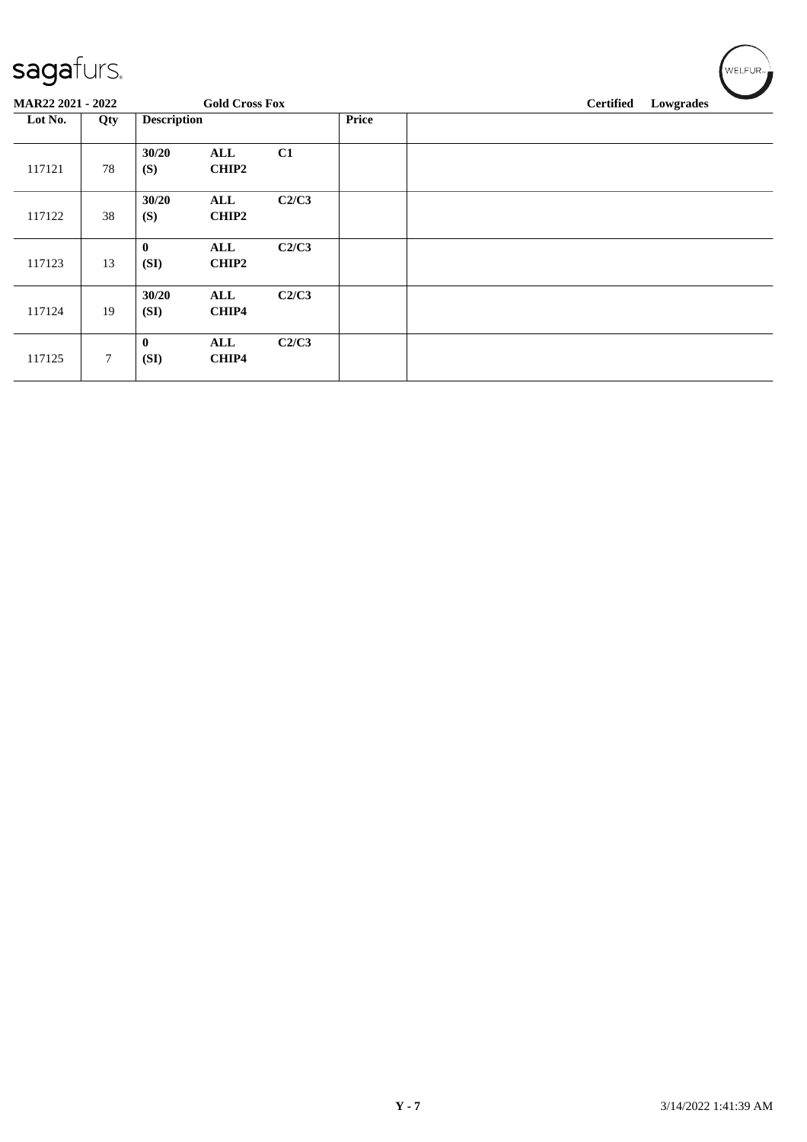| ◡                 |        |                    |                       |       |              |                  |           |
|-------------------|--------|--------------------|-----------------------|-------|--------------|------------------|-----------|
| MAR22 2021 - 2022 |        |                    | <b>Gold Cross Fox</b> |       |              | <b>Certified</b> | Lowgrades |
| Lot No.           | Qty    | <b>Description</b> |                       |       | <b>Price</b> |                  |           |
| 117121            | 78     | 30/20<br>(S)       | ALL<br>CHIP2          | C1    |              |                  |           |
| 117122            | 38     | 30/20<br>(S)       | ALL<br>CHIP2          | C2/C3 |              |                  |           |
| 117123            | 13     | $\bf{0}$<br>(SI)   | ALL<br>CHIP2          | C2/C3 |              |                  |           |
| 117124            | 19     | 30/20<br>(SI)      | ALL<br>CHIP4          | C2/C3 |              |                  |           |
| 117125            | $\tau$ | $\bf{0}$<br>(SI)   | ALL<br>CHIP4          | C2/C3 |              |                  |           |

 $w$ ELFUR<sub>m</sub>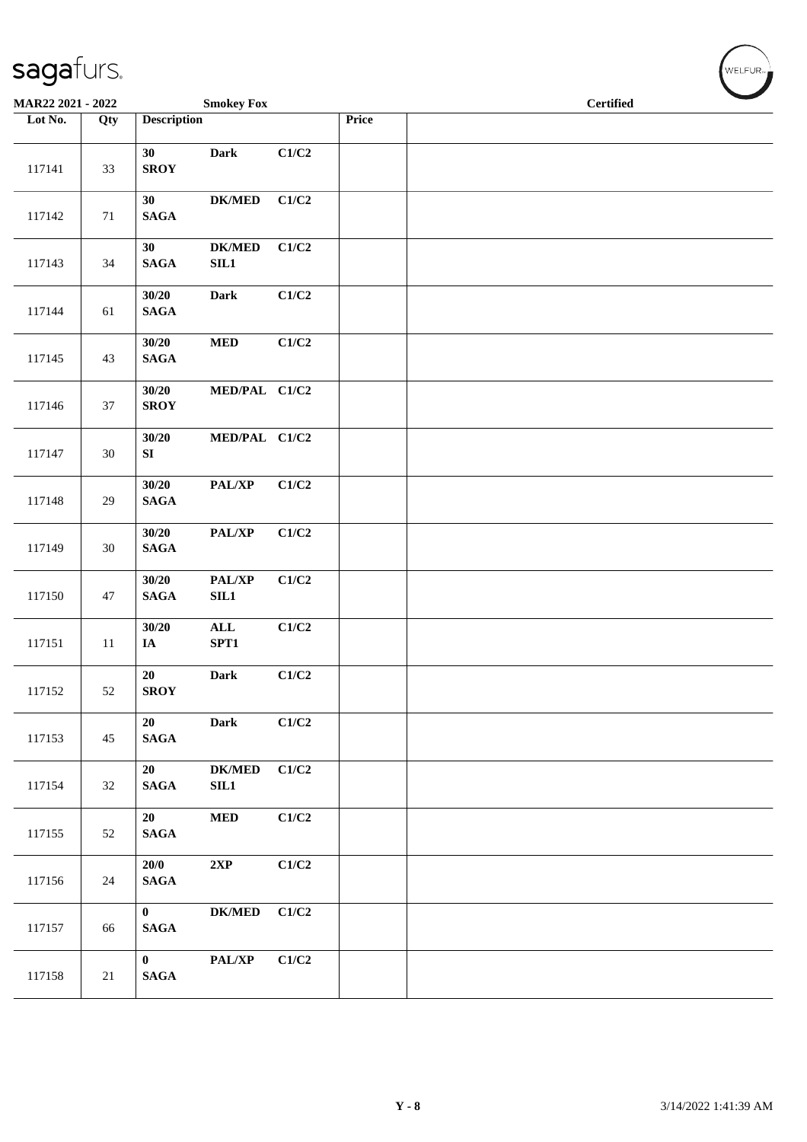| MAR22 2021 - 2022 |        |                                 | <b>Smokey Fox</b>                 |       |       | <b>Certified</b> |  |  |  |
|-------------------|--------|---------------------------------|-----------------------------------|-------|-------|------------------|--|--|--|
| Lot No.           | Qty    | <b>Description</b>              |                                   |       | Price |                  |  |  |  |
| 117141            | 33     | 30<br><b>SROY</b>               | <b>Dark</b>                       | C1/C2 |       |                  |  |  |  |
| 117142            | 71     | 30<br>$\mathbf{SAGA}$           | <b>DK/MED</b>                     | C1/C2 |       |                  |  |  |  |
| 117143            | 34     | 30<br><b>SAGA</b>               | $\mathbf{DK}/\mathbf{MED}$<br>SL1 | C1/C2 |       |                  |  |  |  |
| 117144            | 61     | 30/20<br><b>SAGA</b>            | Dark                              | C1/C2 |       |                  |  |  |  |
| 117145            | 43     | 30/20<br><b>SAGA</b>            | $\bf MED$                         | C1/C2 |       |                  |  |  |  |
| 117146            | 37     | 30/20<br><b>SROY</b>            | MED/PAL C1/C2                     |       |       |                  |  |  |  |
| 117147            | $30\,$ | 30/20<br>SI                     | MED/PAL C1/C2                     |       |       |                  |  |  |  |
| 117148            | 29     | 30/20<br><b>SAGA</b>            | PAL/XP                            | C1/C2 |       |                  |  |  |  |
| 117149            | $30\,$ | 30/20<br>$\mathbf{SAGA}$        | PAL/XP                            | C1/C2 |       |                  |  |  |  |
| 117150            | 47     | 30/20<br>$\mathbf{SAGA}$        | PAL/XP<br>SIL1                    | C1/C2 |       |                  |  |  |  |
| 117151            | $11\,$ | 30/20<br>$I\!\!A$               | $\mathbf{ALL}$<br>SPT1            | C1/C2 |       |                  |  |  |  |
| 117152            | 52     | $20\,$<br><b>SROY</b>           | <b>Dark</b>                       | C1/C2 |       |                  |  |  |  |
| 117153            | 45     | 20<br>$\mathbf{SAGA}$           | <b>Dark</b>                       | C1/C2 |       |                  |  |  |  |
| 117154            | 32     | 20<br><b>SAGA</b>               | <b>DK/MED</b><br>SL1              | C1/C2 |       |                  |  |  |  |
| 117155            | 52     | 20<br><b>SAGA</b>               | $\bf MED$                         | C1/C2 |       |                  |  |  |  |
| 117156            | 24     | 20/0<br>$\mathbf{SAGA}$         | 2XP                               | C1/C2 |       |                  |  |  |  |
| 117157            | 66     | $\bf{0}$<br><b>SAGA</b>         | $\mathbf{DK}/\mathbf{MED}$        | C1/C2 |       |                  |  |  |  |
| 117158            | 21     | $\mathbf{0}$<br>$\mathbf{SAGA}$ | PAL/XP                            | C1/C2 |       |                  |  |  |  |

 $(\forall ELFUR$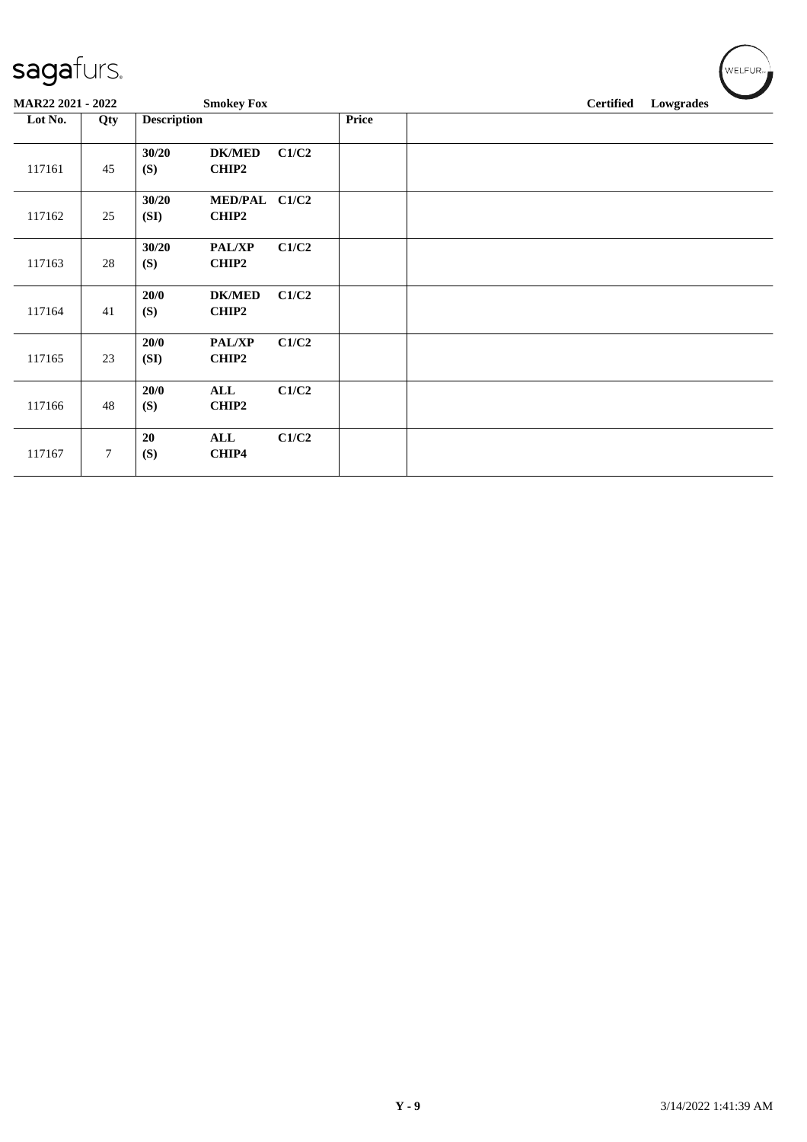| sagafurs.         |     |                    |                         |       |       |                  |           |  | WELFUR <sub>™</sub> |
|-------------------|-----|--------------------|-------------------------|-------|-------|------------------|-----------|--|---------------------|
| MAR22 2021 - 2022 |     |                    | <b>Smokey Fox</b>       |       |       | <b>Certified</b> | Lowgrades |  |                     |
| Lot No.           | Qty | <b>Description</b> |                         |       | Price |                  |           |  |                     |
| 117161            | 45  | 30/20<br>(S)       | <b>DK/MED</b><br>CHIP2  | C1/C2 |       |                  |           |  |                     |
| 117162            | 25  | 30/20<br>(SI)      | <b>MED/PAL</b><br>CHIP2 | C1/C2 |       |                  |           |  |                     |
| 117163            | 28  | 30/20<br>(S)       | <b>PAL/XP</b><br>CHIP2  | C1/C2 |       |                  |           |  |                     |
| 117164            | 41  | 20/0<br>(S)        | <b>DK/MED</b><br>CHIP2  | C1/C2 |       |                  |           |  |                     |
| 117165            | 23  | 20/0<br>(SI)       | PAL/XP<br>CHIP2         | C1/C2 |       |                  |           |  |                     |
| 117166            | 48  | 20/0<br>(S)        | <b>ALL</b><br>CHIP2     | C1/C2 |       |                  |           |  |                     |
| 117167            | 7   | 20<br>(S)          | ALL<br>CHIP4            | C1/C2 |       |                  |           |  |                     |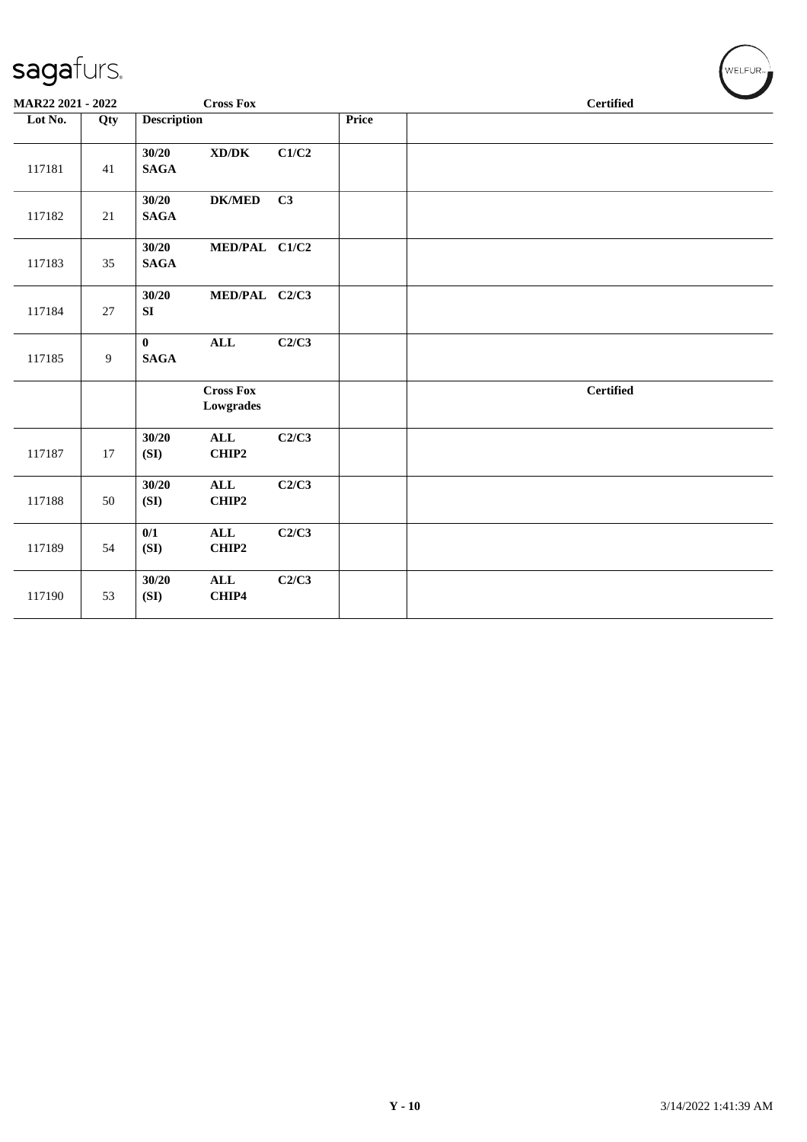| MAR22 2021 - 2022 |                |                          | <b>Cross Fox</b>                    |       |       | <b>Certified</b> |                  |  |
|-------------------|----------------|--------------------------|-------------------------------------|-------|-------|------------------|------------------|--|
| Lot No.           | Qty            | <b>Description</b>       |                                     |       | Price |                  |                  |  |
| 117181            | 41             | 30/20<br>$\mathbf{SAGA}$ | $\bold{X}\bold{D}/\bold{D}\bold{K}$ | C1/C2 |       |                  |                  |  |
| 117182            | 21             | 30/20<br><b>SAGA</b>     | <b>DK/MED</b>                       | C3    |       |                  |                  |  |
| 117183            | 35             | 30/20<br>$\mathbf{SAGA}$ | MED/PAL C1/C2                       |       |       |                  |                  |  |
| 117184            | 27             | 30/20<br>SI              | MED/PAL C2/C3                       |       |       |                  |                  |  |
| 117185            | $\overline{9}$ | $\bf{0}$<br><b>SAGA</b>  | $\mathbf{ALL}$                      | C2/C3 |       |                  |                  |  |
|                   |                |                          | <b>Cross Fox</b><br>Lowgrades       |       |       |                  | <b>Certified</b> |  |
| 117187            | 17             | 30/20<br>(SI)            | $\mathbf{ALL}$<br>CHIP2             | C2/C3 |       |                  |                  |  |
| 117188            | 50             | 30/20<br>(SI)            | $\mathbf{ALL}$<br>CHIP2             | C2/C3 |       |                  |                  |  |
| 117189            | 54             | 0/1<br>(SI)              | $\mathbf{ALL}$<br>CHIP2             | C2/C3 |       |                  |                  |  |
| 117190            | 53             | 30/20<br>(SI)            | <b>ALL</b><br>CHIP4                 | C2/C3 |       |                  |                  |  |
|                   |                |                          |                                     |       |       |                  |                  |  |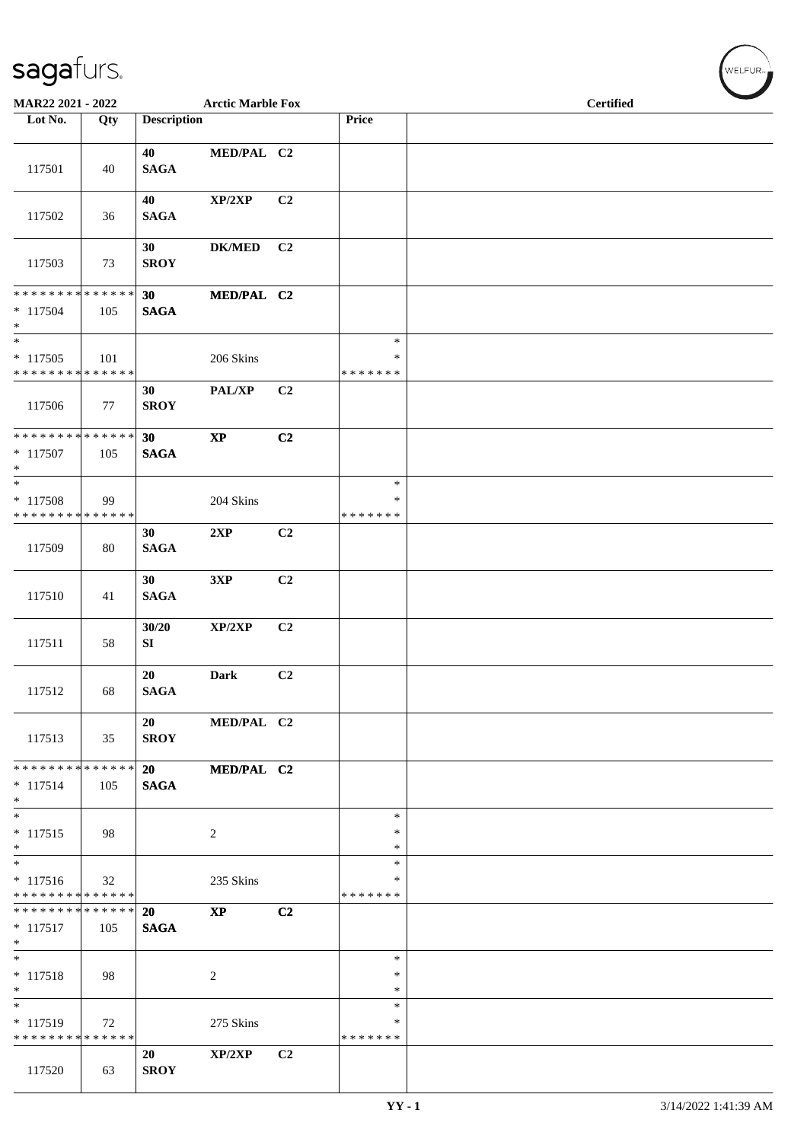| MAR22 2021 - 2022                                              |     |                          | <b>Arctic Marble Fox</b> |                |                                   | <b>Certified</b> |
|----------------------------------------------------------------|-----|--------------------------|--------------------------|----------------|-----------------------------------|------------------|
| Lot No.                                                        | Qty | <b>Description</b>       |                          |                | Price                             |                  |
| 117501                                                         | 40  | 40<br><b>SAGA</b>        | MED/PAL C2               |                |                                   |                  |
| 117502                                                         | 36  | 40<br><b>SAGA</b>        | XP/2XP                   | C2             |                                   |                  |
| 117503                                                         | 73  | 30<br><b>SROY</b>        | <b>DK/MED</b>            | C <sub>2</sub> |                                   |                  |
| **************<br>$* 117504$<br>$*$                            | 105 | 30<br><b>SAGA</b>        | MED/PAL C2               |                |                                   |                  |
| $\overline{\ast}$<br>$* 117505$<br>* * * * * * * * * * * * * * | 101 |                          | 206 Skins                |                | $\ast$<br>$\ast$<br>* * * * * * * |                  |
| 117506                                                         | 77  | 30<br><b>SROY</b>        | PAL/XP                   | C <sub>2</sub> |                                   |                  |
| * * * * * * * * * * * * * * *<br>* 117507<br>$*$               | 105 | 30<br><b>SAGA</b>        | $\bold{XP}$              | C2             |                                   |                  |
| $\overline{\ast}$<br>* 117508<br>* * * * * * * * * * * * * *   | 99  |                          | 204 Skins                |                | $\ast$<br>∗<br>* * * * * * *      |                  |
| 117509                                                         | 80  | 30<br><b>SAGA</b>        | 2XP                      | C2             |                                   |                  |
| 117510                                                         | 41  | 30<br>$\mathbf{SAGA}$    | 3XP                      | C2             |                                   |                  |
| 117511                                                         | 58  | 30/20<br>SI              | XP/2XP                   | C2             |                                   |                  |
| 117512                                                         | 68  | 20<br><b>SAGA</b>        | <b>Dark</b>              | C <sub>2</sub> |                                   |                  |
| 117513                                                         | 35  | 20<br><b>SROY</b>        | MED/PAL C2               |                |                                   |                  |
| * * * * * * * * * * * * * * *<br>$* 117514$<br>$*$             | 105 | 20<br><b>SAGA</b>        | MED/PAL C2               |                |                                   |                  |
| $*$<br>$* 117515$<br>$*$                                       | 98  |                          | 2                        |                | $\ast$<br>$\ast$<br>$\ast$        |                  |
| $*$<br>$* 117516$<br>* * * * * * * * * * * * * *               | 32  |                          | 235 Skins                |                | $\ast$<br>$\ast$<br>*******       |                  |
| * * * * * * * * * * * * * * *<br>$* 117517$<br>$*$             | 105 | <b>20</b><br><b>SAGA</b> | $\mathbf{X}\mathbf{P}$   | C2             |                                   |                  |
| $*$<br>$* 117518$<br>$*$                                       | 98  |                          | 2                        |                | $\ast$<br>$\ast$<br>$\ast$        |                  |
| $* 117519$<br>* * * * * * * * * * * * * *                      | 72  |                          | 275 Skins                |                | $\ast$<br>∗<br>*******            |                  |
| 117520                                                         | 63  | 20<br><b>SROY</b>        | XP/2XP                   | C <sub>2</sub> |                                   |                  |

WELFUR<sub>"</sub>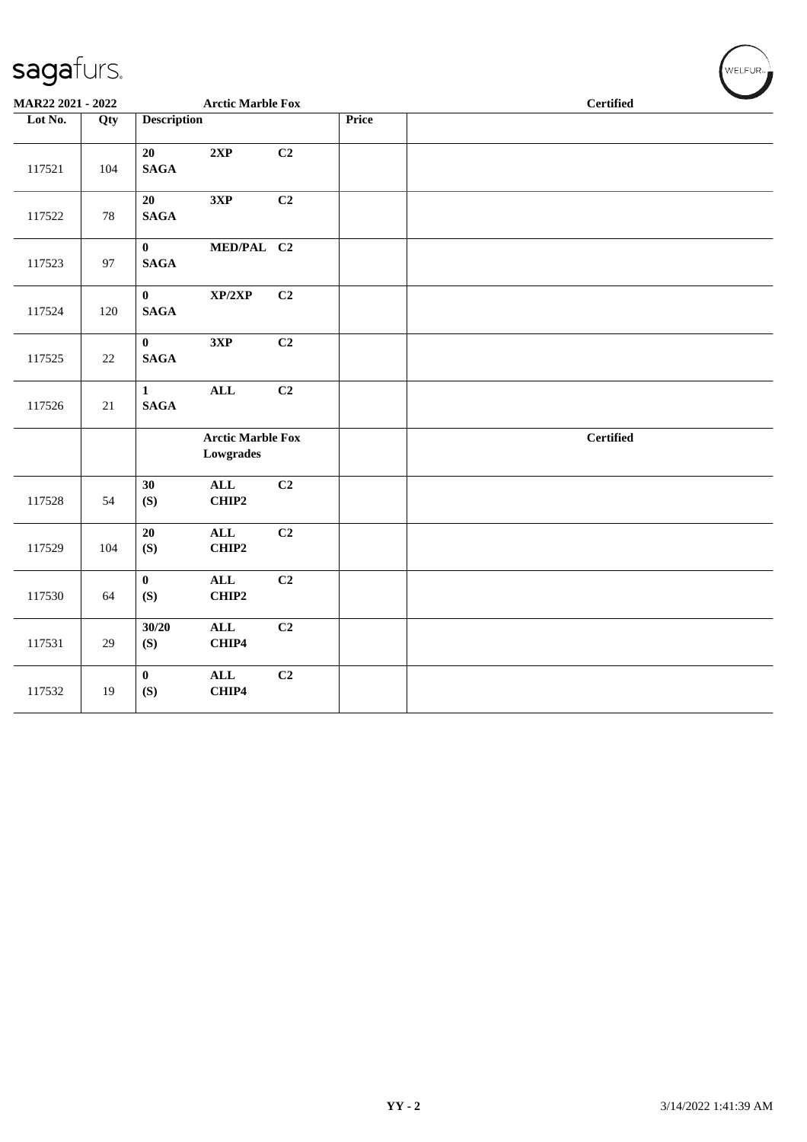| MAR22 2021 - 2022 |        |                                 | <b>Arctic Marble Fox</b>              |                |       |  | <b>Certified</b> |  |  |  |
|-------------------|--------|---------------------------------|---------------------------------------|----------------|-------|--|------------------|--|--|--|
| Lot No.           | Qty    | <b>Description</b>              |                                       |                | Price |  |                  |  |  |  |
| 117521            | 104    | 20<br><b>SAGA</b>               | 2XP                                   | C2             |       |  |                  |  |  |  |
| 117522            | 78     | 20<br>$\mathbf{SAGA}$           | 3XP                                   | C2             |       |  |                  |  |  |  |
| 117523            | 97     | $\mathbf{0}$<br>$\mathbf{SAGA}$ | MED/PAL C2                            |                |       |  |                  |  |  |  |
| 117524            | 120    | $\mathbf{0}$<br>$\mathbf{SAGA}$ | XP/2XP                                | C2             |       |  |                  |  |  |  |
| 117525            | 22     | $\mathbf{0}$<br><b>SAGA</b>     | 3XP                                   | C2             |       |  |                  |  |  |  |
| 117526            | $21\,$ | $\mathbf{1}$<br>$\mathbf{SAGA}$ | <b>ALL</b>                            | C2             |       |  |                  |  |  |  |
|                   |        |                                 | <b>Arctic Marble Fox</b><br>Lowgrades |                |       |  | <b>Certified</b> |  |  |  |
| 117528            | 54     | 30<br>(S)                       | $\mathbf{ALL}$<br>CHIP2               | C <sub>2</sub> |       |  |                  |  |  |  |
| 117529            | 104    | 20<br>(S)                       | ALL<br>CHIP2                          | C2             |       |  |                  |  |  |  |
| 117530            | 64     | $\bf{0}$<br>(S)                 | <b>ALL</b><br>CHIP2                   | C2             |       |  |                  |  |  |  |
| 117531            | 29     | 30/20<br>(S)                    | ALL<br>CHIP4                          | C2             |       |  |                  |  |  |  |
| 117532            | 19     | $\mathbf{0}$<br>(S)             | $\mathbf{ALL}$<br>CHIP4               | C2             |       |  |                  |  |  |  |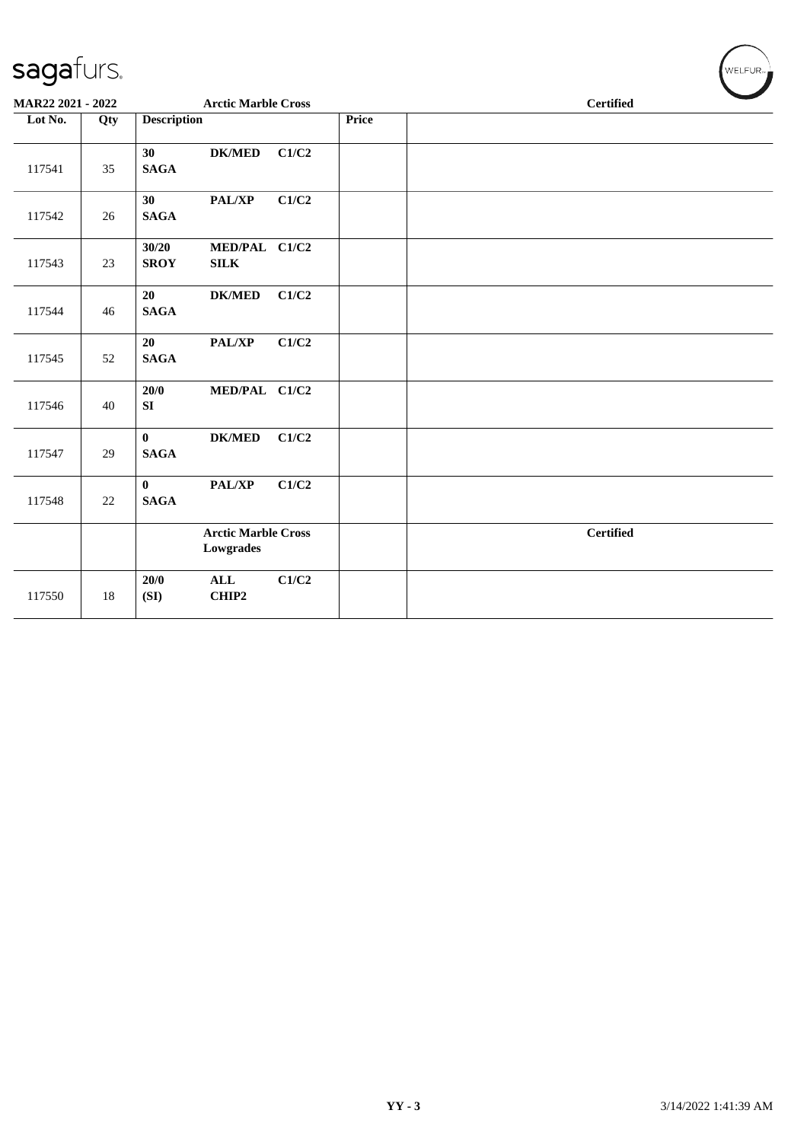| sagafurs.         |     |                             |                                         |       |       | WELFUR-          |
|-------------------|-----|-----------------------------|-----------------------------------------|-------|-------|------------------|
| MAR22 2021 - 2022 |     |                             | <b>Arctic Marble Cross</b>              |       |       | <b>Certified</b> |
| Lot No.           | Qty | <b>Description</b>          |                                         |       | Price |                  |
| 117541            | 35  | 30<br><b>SAGA</b>           | <b>DK/MED</b>                           | C1/C2 |       |                  |
| 117542            | 26  | 30<br><b>SAGA</b>           | <b>PAL/XP</b>                           | C1/C2 |       |                  |
| 117543            | 23  | 30/20<br><b>SROY</b>        | MED/PAL C1/C2<br>$\textbf{SILK}$        |       |       |                  |
| 117544            | 46  | 20<br><b>SAGA</b>           | <b>DK/MED</b>                           | C1/C2 |       |                  |
| 117545            | 52  | 20<br><b>SAGA</b>           | PAL/XP                                  | C1/C2 |       |                  |
| 117546            | 40  | 20/0<br>SI                  | MED/PAL C1/C2                           |       |       |                  |
| 117547            | 29  | $\mathbf{0}$<br><b>SAGA</b> | <b>DK/MED</b>                           | C1/C2 |       |                  |
| 117548            | 22  | $\bf{0}$<br><b>SAGA</b>     | PAL/XP                                  | C1/C2 |       |                  |
|                   |     |                             | <b>Arctic Marble Cross</b><br>Lowgrades |       |       | <b>Certified</b> |
| 117550            | 18  | 20/0<br>(SI)                | <b>ALL</b><br>CHIP2                     | C1/C2 |       |                  |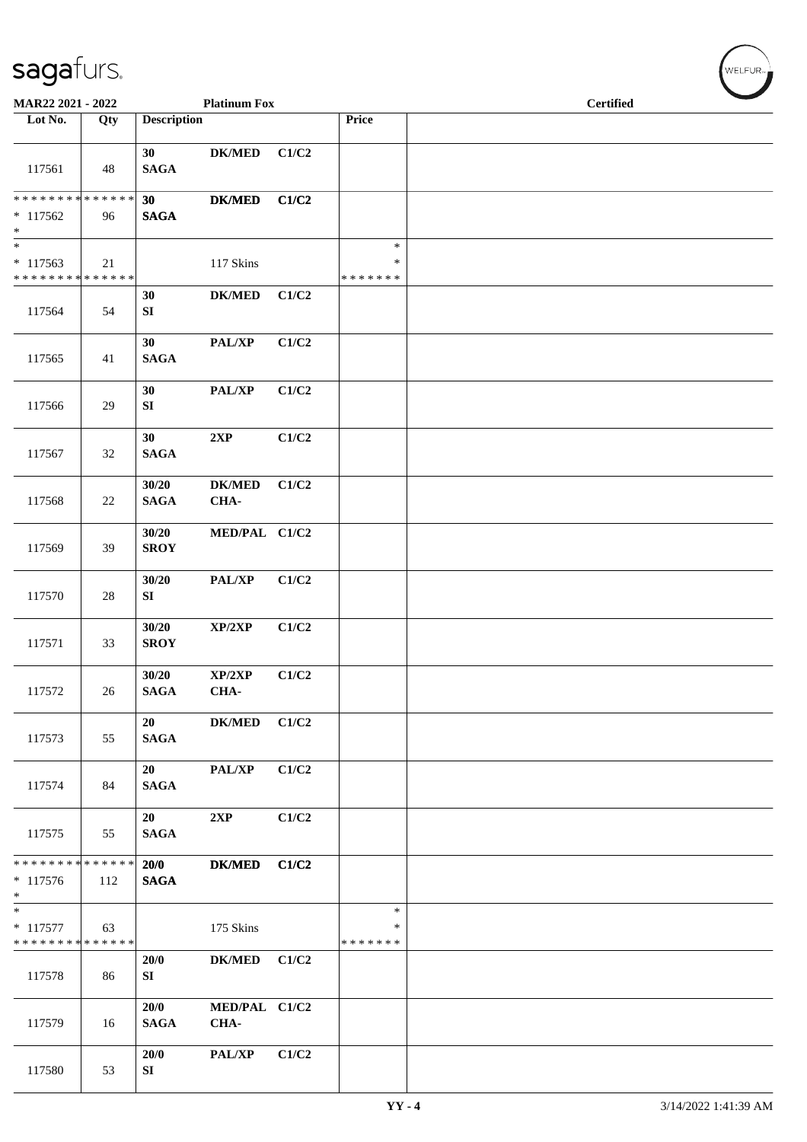| MAR22 2021 - 2022                                                     |        |                           | <b>Platinum Fox</b>        |       |                              | <b>Certified</b> |
|-----------------------------------------------------------------------|--------|---------------------------|----------------------------|-------|------------------------------|------------------|
| Lot No.                                                               | Qty    | <b>Description</b>        |                            |       | Price                        |                  |
| 117561                                                                | 48     | 30<br><b>SAGA</b>         | <b>DK/MED</b>              | C1/C2 |                              |                  |
| * * * * * * * * * * * * * *<br>$* 117562$                             | 96     | 30<br><b>SAGA</b>         | <b>DK/MED</b>              | C1/C2 |                              |                  |
| $\ast$<br>$\ast$                                                      |        |                           |                            |       | $\ast$                       |                  |
| $* 117563$<br>******** <mark>******</mark>                            | 21     |                           | 117 Skins                  |       | $\ast$<br>* * * * * * *      |                  |
| 117564                                                                | 54     | 30<br>${\bf SI}$          | <b>DK/MED</b>              | C1/C2 |                              |                  |
| 117565                                                                | 41     | 30<br><b>SAGA</b>         | PAL/XP                     | C1/C2 |                              |                  |
| 117566                                                                | 29     | 30<br>SI                  | $\mathbf{PAL}/\mathbf{XP}$ | C1/C2 |                              |                  |
| 117567                                                                | 32     | 30<br><b>SAGA</b>         | 2XP                        | C1/C2 |                              |                  |
| 117568                                                                | 22     | 30/20<br><b>SAGA</b>      | <b>DK/MED</b><br>CHA-      | C1/C2 |                              |                  |
| 117569                                                                | 39     | 30/20<br><b>SROY</b>      | MED/PAL C1/C2              |       |                              |                  |
| 117570                                                                | $28\,$ | 30/20<br>${\bf S}{\bf I}$ | PAL/XP                     | C1/C2 |                              |                  |
| 117571                                                                | 33     | 30/20<br><b>SROY</b>      | XP/2XP                     | C1/C2 |                              |                  |
| 117572                                                                | 26     | 30/20<br>SAGA             | XP/2XP<br>CHA-             | C1/C2 |                              |                  |
| 117573                                                                | 55     | 20<br><b>SAGA</b>         | <b>DK/MED</b>              | C1/C2 |                              |                  |
| 117574                                                                | 84     | 20<br><b>SAGA</b>         | PAL/XP                     | C1/C2 |                              |                  |
| 117575                                                                | 55     | 20<br><b>SAGA</b>         | 2XP                        | C1/C2 |                              |                  |
| * * * * * * * * * * * * * *<br>* 117576<br>$*$                        | 112    | 20/0<br><b>SAGA</b>       | <b>DK/MED</b>              | C1/C2 |                              |                  |
| $\overline{\phantom{0}}$<br>$* 117577$<br>* * * * * * * * * * * * * * | 63     |                           | 175 Skins                  |       | $\ast$<br>∗<br>* * * * * * * |                  |
| 117578                                                                | 86     | 20/0<br>SI                | <b>DK/MED</b>              | C1/C2 |                              |                  |
| 117579                                                                | 16     | 20/0<br><b>SAGA</b>       | MED/PAL C1/C2<br>CHA-      |       |                              |                  |
| 117580                                                                | 53     | 20/0<br>SI                | <b>PAL/XP</b>              | C1/C2 |                              |                  |

 $(\sqrt{\text{WELFUR}_{n}})$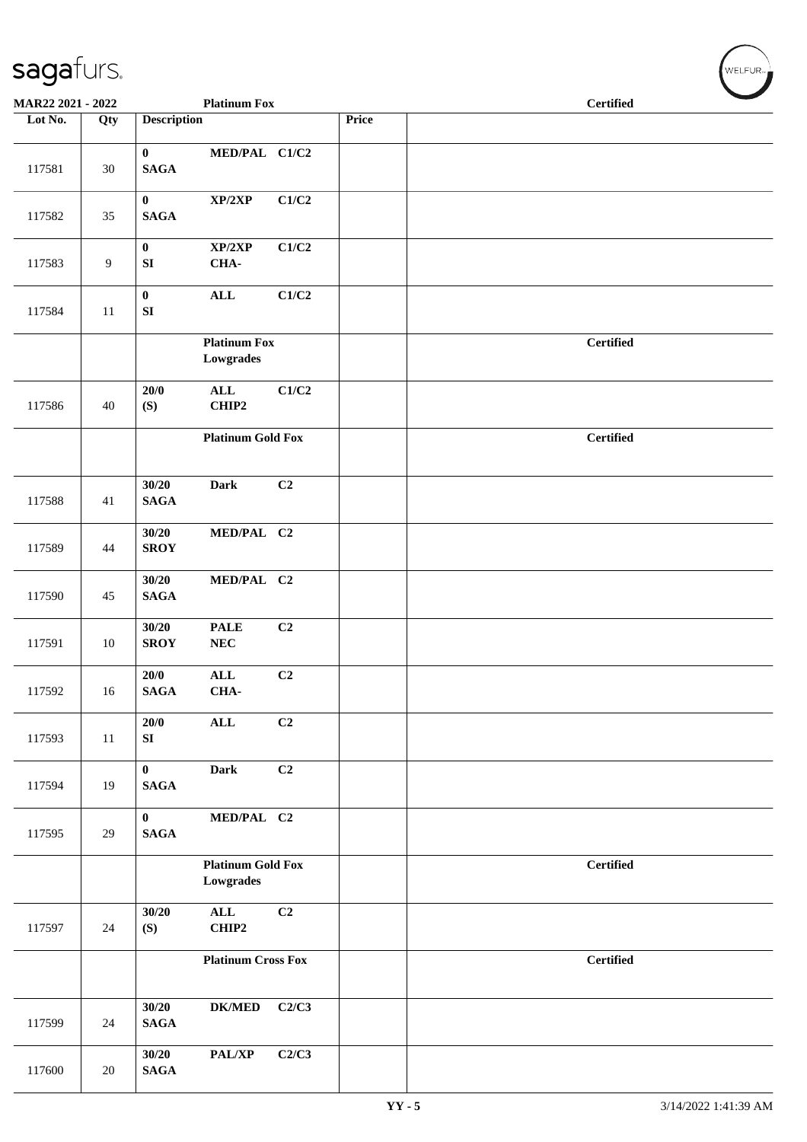| MAR22 2021 - 2022 |                |                                  | <b>Platinum Fox</b>                          |       |       | <b>Certified</b> |  |  |  |
|-------------------|----------------|----------------------------------|----------------------------------------------|-------|-------|------------------|--|--|--|
| Lot No.           | Qty            | <b>Description</b>               |                                              |       | Price |                  |  |  |  |
| 117581            | 30             | $\bf{0}$<br><b>SAGA</b>          | MED/PAL C1/C2                                |       |       |                  |  |  |  |
| 117582            | 35             | $\mathbf{0}$<br><b>SAGA</b>      | XP/2XP                                       | C1/C2 |       |                  |  |  |  |
| 117583            | $\overline{9}$ | $\bf{0}$<br>${\bf S}{\bf I}$     | XP/2XP<br>CHA-                               | C1/C2 |       |                  |  |  |  |
| 117584            | 11             | $\mathbf{0}$<br>${\bf S}{\bf I}$ | $\mathbf{ALL}$                               | C1/C2 |       |                  |  |  |  |
|                   |                |                                  | <b>Platinum Fox</b><br>Lowgrades             |       |       | <b>Certified</b> |  |  |  |
| 117586            | 40             | 20/0<br>(S)                      | $\mathbf{ALL}$<br>CHIP2                      | C1/C2 |       |                  |  |  |  |
|                   |                |                                  | <b>Platinum Gold Fox</b>                     |       |       | <b>Certified</b> |  |  |  |
| 117588            | 41             | 30/20<br><b>SAGA</b>             | <b>Dark</b>                                  | C2    |       |                  |  |  |  |
| 117589            | 44             | 30/20<br><b>SROY</b>             | MED/PAL C2                                   |       |       |                  |  |  |  |
| 117590            | 45             | 30/20<br>$\mathbf{SAGA}$         | MED/PAL C2                                   |       |       |                  |  |  |  |
| 117591            | 10             | 30/20<br><b>SROY</b>             | <b>PALE</b><br>${\bf NEC}$                   | C2    |       |                  |  |  |  |
| 117592            | 16             | 20/0<br><b>SAGA</b>              | $\mathbf{ALL}$<br>CHA-                       | C2    |       |                  |  |  |  |
| 117593            | 11             | 20/0<br>${\bf S}{\bf I}$         | ALL                                          | C2    |       |                  |  |  |  |
| 117594            | 19             | $\bf{0}$<br>$\mathbf{SAGA}$      | <b>Dark</b>                                  | C2    |       |                  |  |  |  |
| 117595            | 29             | $\mathbf{0}$<br>$\mathbf{SAGA}$  | MED/PAL C2                                   |       |       |                  |  |  |  |
|                   |                |                                  | <b>Platinum Gold Fox</b><br><b>Lowgrades</b> |       |       | <b>Certified</b> |  |  |  |
| 117597            | 24             | 30/20<br>(S)                     | $\mathbf{ALL}$<br>CHIP2                      | C2    |       |                  |  |  |  |
|                   |                |                                  | <b>Platinum Cross Fox</b>                    |       |       | <b>Certified</b> |  |  |  |
| 117599            | 24             | 30/20<br><b>SAGA</b>             | <b>DK/MED</b>                                | C2/C3 |       |                  |  |  |  |
| 117600            | 20             | 30/20<br><b>SAGA</b>             | PAL/XP                                       | C2/C3 |       |                  |  |  |  |

 $\left(\bigvee_{w \in \text{LFUR}_{\text{reg}}}$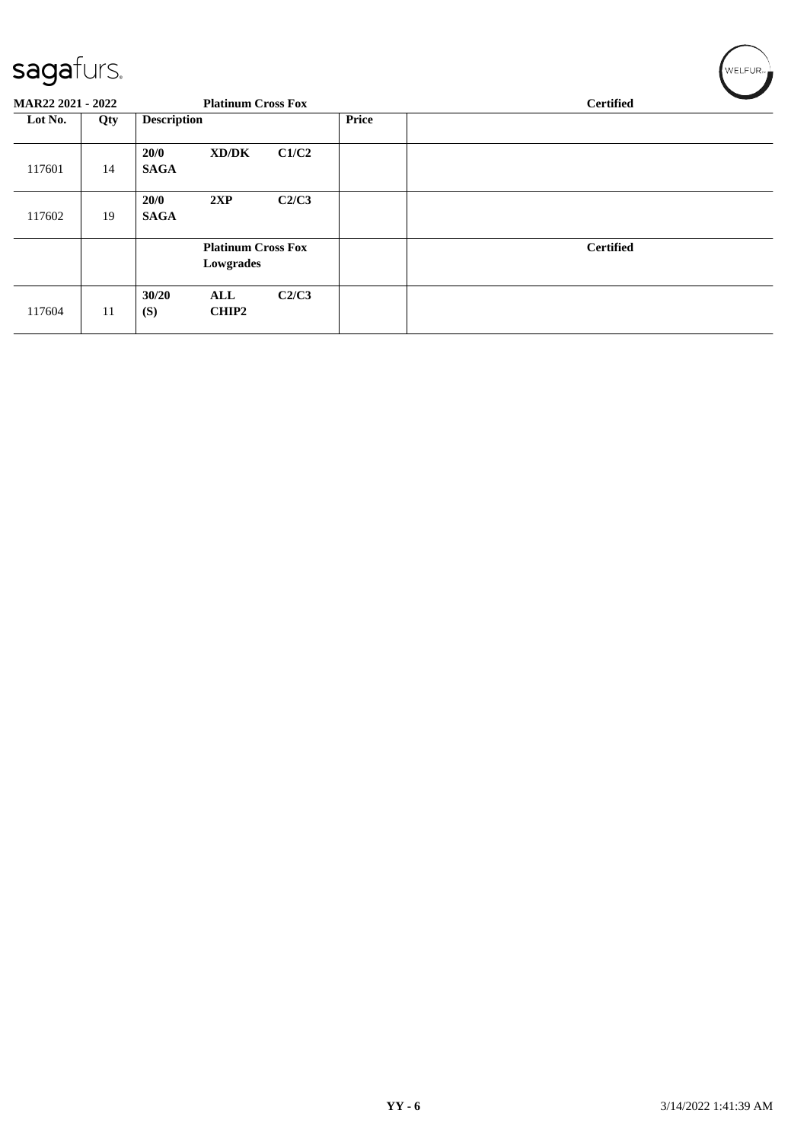#### $\epsilon$ anafurc

| sayarurs.<br>MAR22 2021 - 2022 |     |                     | <b>Platinum Cross Fox</b>              |       |              | <b>Certified</b> |
|--------------------------------|-----|---------------------|----------------------------------------|-------|--------------|------------------|
| Lot No.                        | Qty | <b>Description</b>  |                                        |       | <b>Price</b> |                  |
| 117601                         | 14  | 20/0<br><b>SAGA</b> | XD/DK                                  | C1/C2 |              |                  |
| 117602                         | 19  | 20/0<br><b>SAGA</b> | 2XP                                    | C2/C3 |              |                  |
|                                |     |                     | <b>Platinum Cross Fox</b><br>Lowgrades |       |              | <b>Certified</b> |
| 117604                         | 11  | 30/20<br>(S)        | ALL<br><b>CHIP2</b>                    | C2/C3 |              |                  |

 $\sqrt{2}$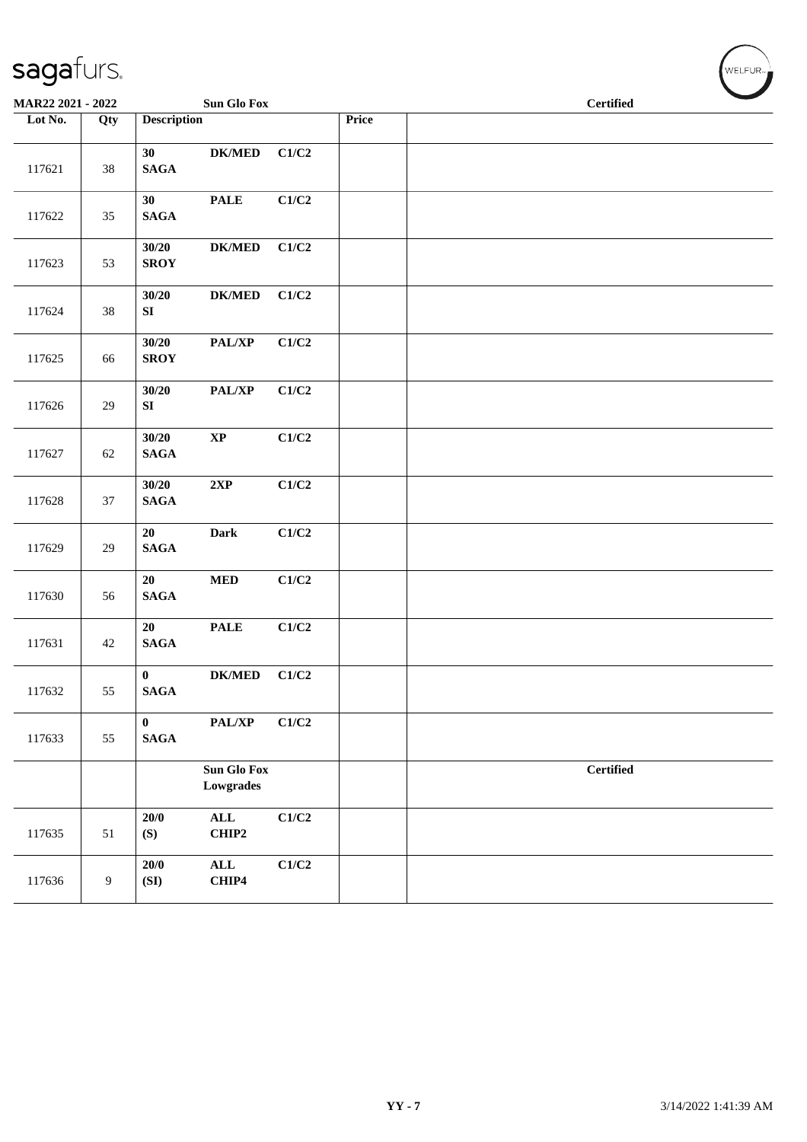| MAR22 2021 - 2022 |     |                             | Sun Glo Fox                               |                           |       | <b>Certified</b> |  |
|-------------------|-----|-----------------------------|-------------------------------------------|---------------------------|-------|------------------|--|
| Lot No.           | Qty | <b>Description</b>          |                                           |                           | Price |                  |  |
| 117621            | 38  | 30<br>$\mathbf{SAGA}$       | <b>DK/MED</b>                             | C1/C2                     |       |                  |  |
| 117622            | 35  | 30<br>$\mathbf{SAGA}$       | $\ensuremath{\mathop{\bf PALE}\nolimits}$ | C1/C2                     |       |                  |  |
| 117623            | 53  | 30/20<br><b>SROY</b>        | $DK/MED$                                  | C1/C2                     |       |                  |  |
| 117624            | 38  | 30/20<br>${\bf S}{\bf I}$   | $DK/MED$                                  | C1/C2                     |       |                  |  |
| 117625            | 66  | 30/20<br><b>SROY</b>        | PAL/XP                                    | $\mathbf{C1}/\mathbf{C2}$ |       |                  |  |
| 117626            | 29  | 30/20<br>SI                 | PAL/XP                                    | C1/C2                     |       |                  |  |
| 117627            | 62  | 30/20<br>$\mathbf{SAGA}$    | $\bold{XP}$                               | C1/C2                     |       |                  |  |
| 117628            | 37  | 30/20<br>$\mathbf{SAGA}$    | 2XP                                       | C1/C2                     |       |                  |  |
| 117629            | 29  | 20<br>$\mathbf{SAGA}$       | Dark                                      | C1/C2                     |       |                  |  |
| 117630            | 56  | 20<br>$\mathbf{SAGA}$       | $\bf MED$                                 | C1/C2                     |       |                  |  |
| 117631            | 42  | 20<br>$\mathbf{SAGA}$       | <b>PALE</b>                               | C1/C2                     |       |                  |  |
| 117632            | 55  | $\mathbf{0}$<br><b>SAGA</b> | $DK/MED$                                  | C1/C2                     |       |                  |  |
| 117633            | 55  | $\bf{0}$<br><b>SAGA</b>     | PAL/XP                                    | C1/C2                     |       |                  |  |
|                   |     |                             | <b>Sun Glo Fox</b><br>Lowgrades           |                           |       | <b>Certified</b> |  |
| 117635            | 51  | 20/0<br>(S)                 | $\mathbf{ALL}$<br>CHIP2                   | C1/C2                     |       |                  |  |
| 117636            | 9   | 20/0<br>(SI)                | $\mathbf{ALL}$<br>CHIP4                   | C1/C2                     |       |                  |  |

WELFUR<sub>"</sub>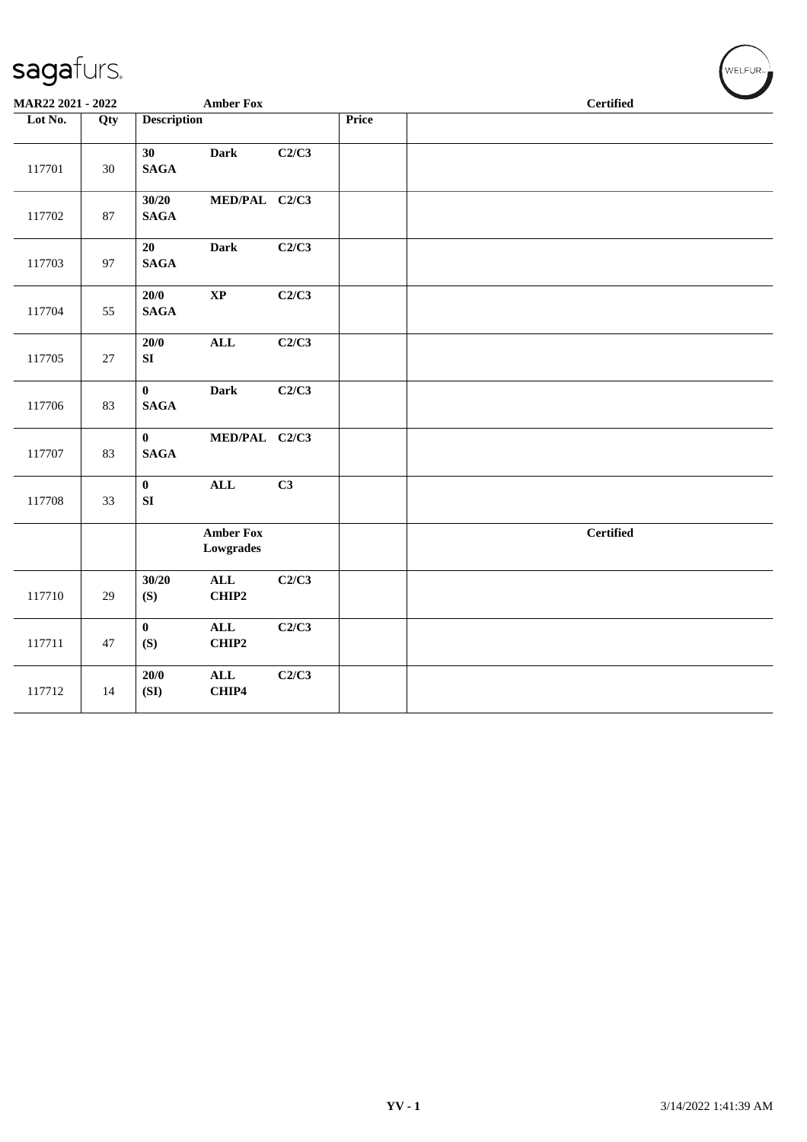| MAR22 2021 - 2022 |        |                            | <b>Amber Fox</b>              |       |              | <b>Certified</b> |
|-------------------|--------|----------------------------|-------------------------------|-------|--------------|------------------|
| Lot No.           | Qty    | <b>Description</b>         |                               |       | <b>Price</b> |                  |
| 117701            | 30     | 30<br><b>SAGA</b>          | <b>Dark</b>                   | C2/C3 |              |                  |
| 117702            | $87\,$ | 30/20<br><b>SAGA</b>       | MED/PAL C2/C3                 |       |              |                  |
| 117703            | 97     | 20<br><b>SAGA</b>          | Dark                          | C2/C3 |              |                  |
| 117704            | 55     | 20/0<br><b>SAGA</b>        | $\bold{XP}$                   | C2/C3 |              |                  |
| 117705            | $27\,$ | 20/0<br>${\bf SI}$         | <b>ALL</b>                    | C2/C3 |              |                  |
| 117706            | 83     | $\bf{0}$<br><b>SAGA</b>    | <b>Dark</b>                   | C2/C3 |              |                  |
| 117707            | 83     | $\bf{0}$<br><b>SAGA</b>    | MED/PAL C2/C3                 |       |              |                  |
| 117708            | 33     | $\mathbf{0}$<br>${\bf SI}$ | ALL                           | C3    |              |                  |
|                   |        |                            | <b>Amber Fox</b><br>Lowgrades |       |              | <b>Certified</b> |
| 117710            | 29     | 30/20<br>(S)               | $\mathbf{ALL}$<br>CHIP2       | C2/C3 |              |                  |
| 117711            | 47     | $\bf{0}$<br>(S)            | ALL<br>CHIP2                  | C2/C3 |              |                  |
| 117712            | 14     | 20/0<br>(SI)               | $\mathbf{ALL}$<br>CHIP4       | C2/C3 |              |                  |

 $(\overbrace{\text{WELFUR}_{\text{max}}})$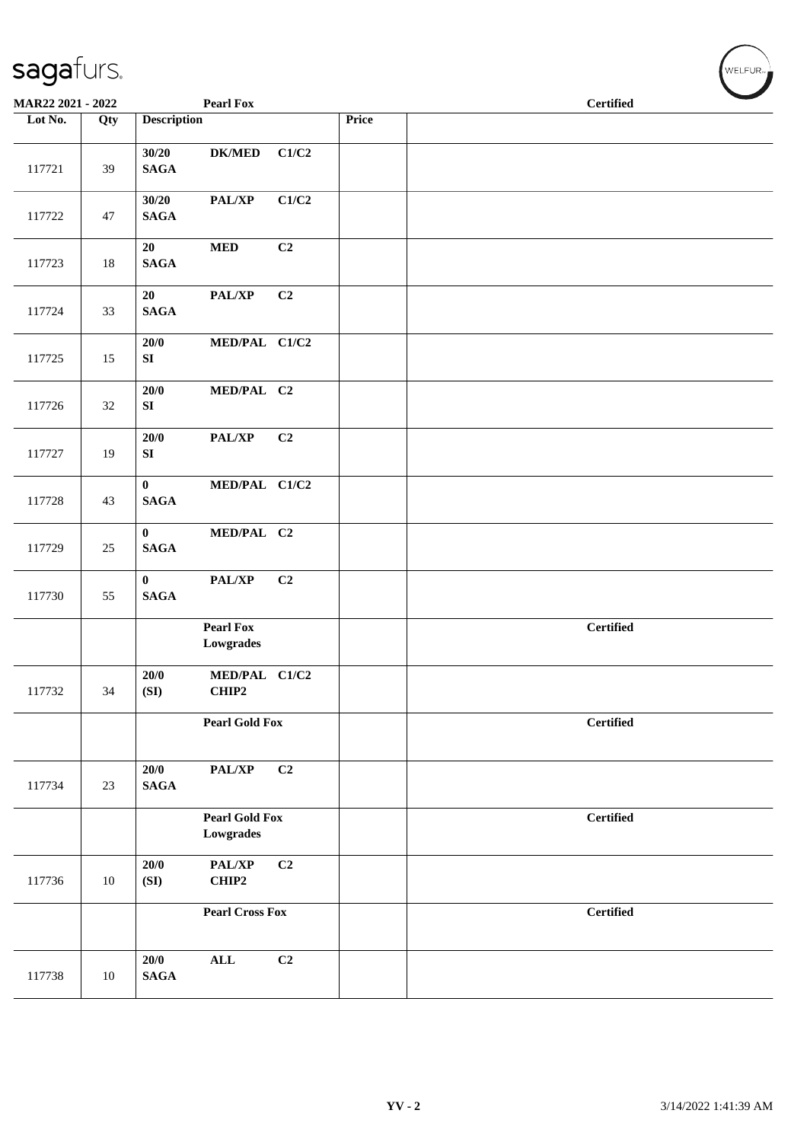| MAR22 2021 - 2022 |     |                                 | Pearl Fox                          |       |       | <b>Certified</b> |  |
|-------------------|-----|---------------------------------|------------------------------------|-------|-------|------------------|--|
| Lot No.           | Qty | <b>Description</b>              |                                    |       | Price |                  |  |
| 117721            | 39  | 30/20<br><b>SAGA</b>            | <b>DK/MED</b>                      | C1/C2 |       |                  |  |
| 117722            | 47  | 30/20<br>$\mathbf{SAGA}$        | $\mathbf{PAL}/\mathbf{XP}$         | C1/C2 |       |                  |  |
| 117723            | 18  | 20<br>$\mathbf{SAGA}$           | $\bf MED$                          | C2    |       |                  |  |
| 117724            | 33  | 20<br>$\mathbf{SAGA}$           | PAL/XP                             | C2    |       |                  |  |
| 117725            | 15  | $20/0$<br>SI                    | MED/PAL C1/C2                      |       |       |                  |  |
| 117726            | 32  | $20/0$<br>${\bf S}{\bf I}$      | MED/PAL C2                         |       |       |                  |  |
| 117727            | 19  | $20/0$<br>${\bf SI}$            | PAL/XP                             | C2    |       |                  |  |
| 117728            | 43  | $\mathbf{0}$<br><b>SAGA</b>     | MED/PAL C1/C2                      |       |       |                  |  |
| 117729            | 25  | $\mathbf{0}$<br><b>SAGA</b>     | MED/PAL C2                         |       |       |                  |  |
| 117730            | 55  | $\mathbf{0}$<br>$\mathbf{SAGA}$ | PAL/XP                             | C2    |       |                  |  |
|                   |     |                                 | <b>Pearl Fox</b><br>Lowgrades      |       |       | <b>Certified</b> |  |
| 117732            | 34  | 20/0<br>(SI)                    | MED/PAL C1/C2<br>CHIP2             |       |       |                  |  |
|                   |     |                                 | <b>Pearl Gold Fox</b>              |       |       | <b>Certified</b> |  |
| 117734            | 23  | 20/0<br><b>SAGA</b>             | PAL/XP                             | C2    |       |                  |  |
|                   |     |                                 | <b>Pearl Gold Fox</b><br>Lowgrades |       |       | <b>Certified</b> |  |
| 117736            | 10  | 20/0<br>(SI)                    | PAL/XP<br>CHIP2                    | C2    |       |                  |  |
|                   |     |                                 | <b>Pearl Cross Fox</b>             |       |       | <b>Certified</b> |  |
| 117738            | 10  | 20/0<br><b>SAGA</b>             | $\mathbf{ALL}$                     | C2    |       |                  |  |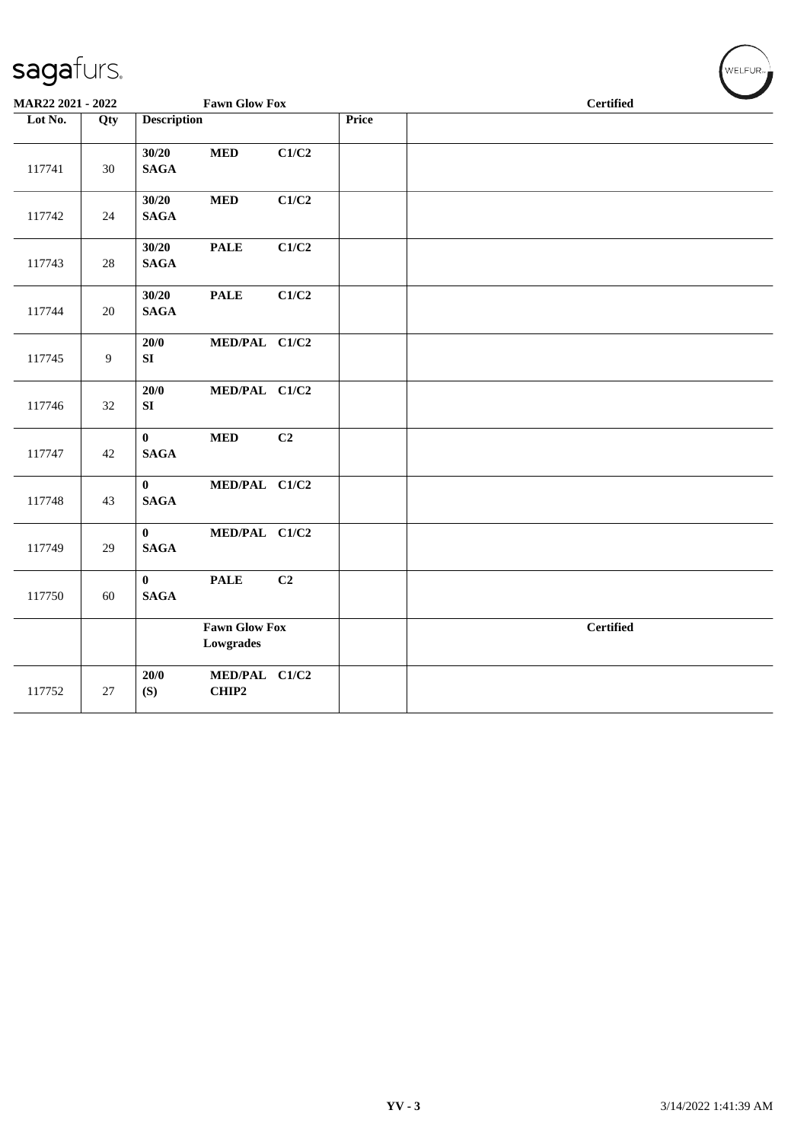| MAR22 2021 - 2022 |                |                             | <b>Fawn Glow Fox</b>              |       |       | <b>Certified</b> |  |
|-------------------|----------------|-----------------------------|-----------------------------------|-------|-------|------------------|--|
| Lot No.           | Qty            | <b>Description</b>          |                                   |       | Price |                  |  |
| 117741            | 30             | 30/20<br><b>SAGA</b>        | $\bf MED$                         | C1/C2 |       |                  |  |
| 117742            | 24             | 30/20<br><b>SAGA</b>        | $\bf MED$                         | C1/C2 |       |                  |  |
| 117743            | 28             | 30/20<br>$\mathbf{SAGA}$    | <b>PALE</b>                       | C1/C2 |       |                  |  |
| 117744            | 20             | 30/20<br>$\mathbf{SAGA}$    | <b>PALE</b>                       | C1/C2 |       |                  |  |
| 117745            | $\overline{9}$ | $20/0$<br>SI                | MED/PAL C1/C2                     |       |       |                  |  |
| 117746            | 32             | 20/0<br>${\bf S}{\bf I}$    | MED/PAL C1/C2                     |       |       |                  |  |
| 117747            | 42             | $\bf{0}$<br><b>SAGA</b>     | <b>MED</b>                        | C2    |       |                  |  |
| 117748            | 43             | $\bf{0}$<br><b>SAGA</b>     | MED/PAL C1/C2                     |       |       |                  |  |
| 117749            | 29             | $\mathbf{0}$<br><b>SAGA</b> | MED/PAL C1/C2                     |       |       |                  |  |
| 117750            | 60             | $\bf{0}$<br><b>SAGA</b>     | <b>PALE</b>                       | C2    |       |                  |  |
|                   |                |                             | <b>Fawn Glow Fox</b><br>Lowgrades |       |       | <b>Certified</b> |  |
| 117752            | 27             | 20/0<br>(S)                 | MED/PAL C1/C2<br>CHIP2            |       |       |                  |  |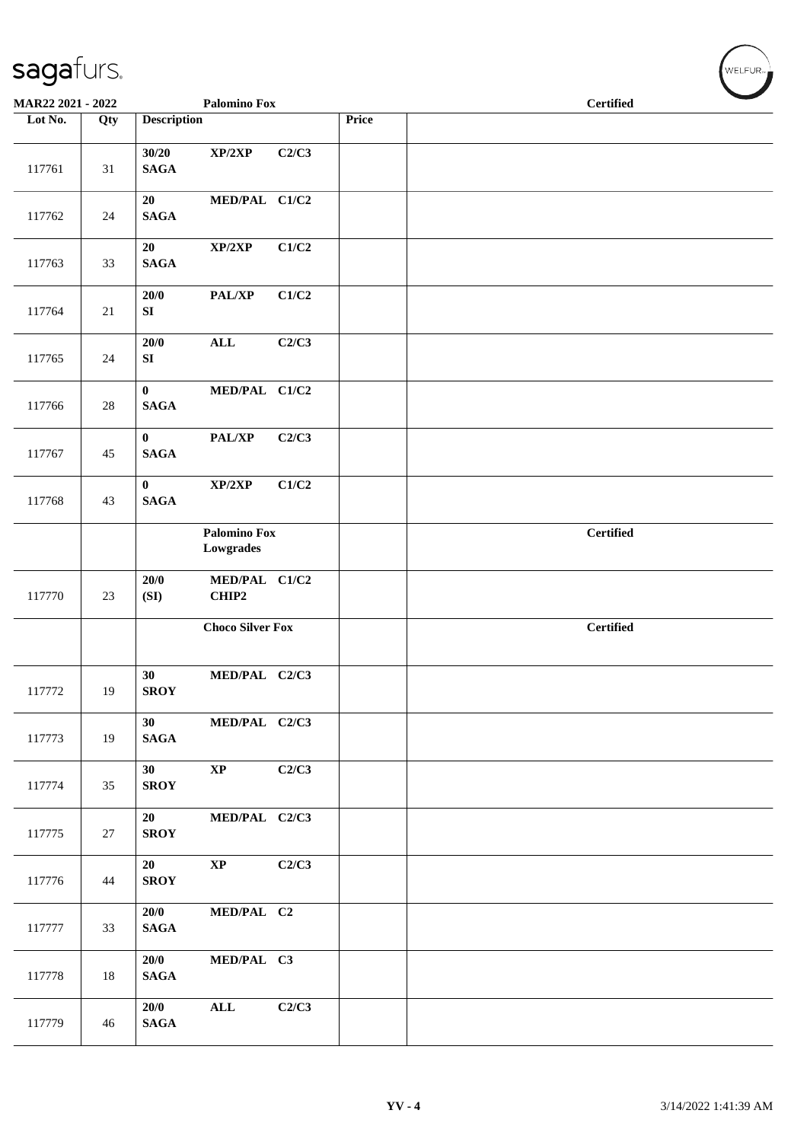| MAR22 2021 - 2022 |     |                             | <b>Palomino Fox</b>              |       |              | <b>Certified</b> |  |  |  |  |
|-------------------|-----|-----------------------------|----------------------------------|-------|--------------|------------------|--|--|--|--|
| Lot No.           | Qty | <b>Description</b>          |                                  |       | <b>Price</b> |                  |  |  |  |  |
| 117761            | 31  | 30/20<br><b>SAGA</b>        | XP/2XP                           | C2/C3 |              |                  |  |  |  |  |
| 117762            | 24  | 20<br>$\mathbf{SAGA}$       | MED/PAL C1/C2                    |       |              |                  |  |  |  |  |
| 117763            | 33  | 20<br><b>SAGA</b>           | XP/2XP                           | C1/C2 |              |                  |  |  |  |  |
| 117764            | 21  | 20/0<br>SI                  | PAL/XP                           | C1/C2 |              |                  |  |  |  |  |
| 117765            | 24  | 20/0<br>SI                  | $\mathbf{ALL}$                   | C2/C3 |              |                  |  |  |  |  |
| 117766            | 28  | $\bf{0}$<br><b>SAGA</b>     | MED/PAL C1/C2                    |       |              |                  |  |  |  |  |
| 117767            | 45  | $\mathbf{0}$<br><b>SAGA</b> | PAL/XP                           | C2/C3 |              |                  |  |  |  |  |
| 117768            | 43  | $\mathbf{0}$<br><b>SAGA</b> | XP/2XP                           | C1/C2 |              |                  |  |  |  |  |
|                   |     |                             | <b>Palomino Fox</b><br>Lowgrades |       |              | <b>Certified</b> |  |  |  |  |
| 117770            | 23  | 20/0<br>(SI)                | MED/PAL C1/C2<br>CHIP2           |       |              |                  |  |  |  |  |
|                   |     |                             | <b>Choco Silver Fox</b>          |       |              | <b>Certified</b> |  |  |  |  |
| 117772            | 19  | 30<br><b>SROY</b>           | MED/PAL C2/C3                    |       |              |                  |  |  |  |  |
| 117773            | 19  | 30<br>$\mathbf{SAGA}$       | MED/PAL C2/C3                    |       |              |                  |  |  |  |  |
| 117774            | 35  | 30<br><b>SROY</b>           | $\mathbf{X}\mathbf{P}$           | C2/C3 |              |                  |  |  |  |  |
| 117775            | 27  | 20<br><b>SROY</b>           | MED/PAL C2/C3                    |       |              |                  |  |  |  |  |
| 117776            | 44  | 20<br><b>SROY</b>           | $\bold{XP}$                      | C2/C3 |              |                  |  |  |  |  |
| 117777            | 33  | 20/0<br><b>SAGA</b>         | MED/PAL C2                       |       |              |                  |  |  |  |  |
| 117778            | 18  | 20/0<br><b>SAGA</b>         | MED/PAL C3                       |       |              |                  |  |  |  |  |
| 117779            | 46  | 20/0<br><b>SAGA</b>         | $\mathbf{ALL}$                   | C2/C3 |              |                  |  |  |  |  |

 $(\forall ELFUR$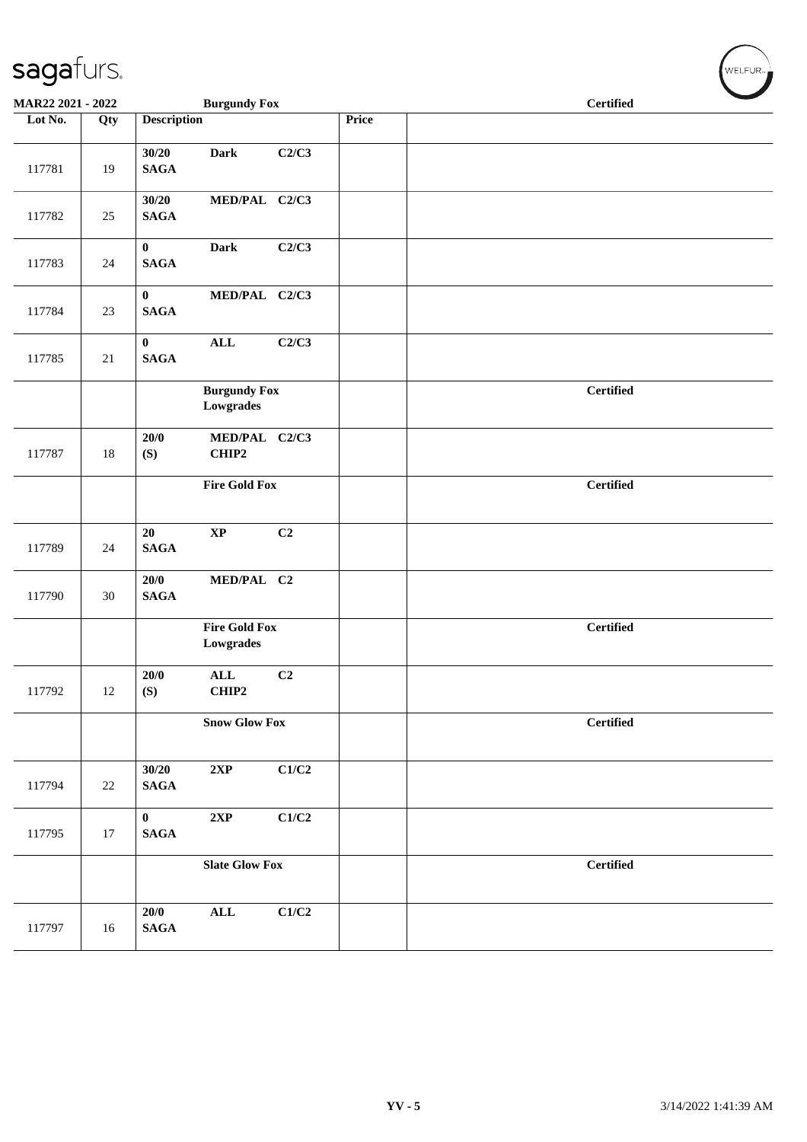| MAR22 2021 - 2022 |        | <b>Burgundy Fox</b>                                    |       | <b>Certified</b> |
|-------------------|--------|--------------------------------------------------------|-------|------------------|
| Lot No.           | Qty    | <b>Description</b>                                     | Price |                  |
| 117781            | 19     | 30/20<br><b>Dark</b><br>C2/C3<br><b>SAGA</b>           |       |                  |
| 117782            | 25     | 30/20<br>MED/PAL C2/C3<br><b>SAGA</b>                  |       |                  |
| 117783            | 24     | $\mathbf{0}$<br>C2/C3<br><b>Dark</b><br><b>SAGA</b>    |       |                  |
| 117784            | 23     | $\mathbf{0}$<br>MED/PAL C2/C3<br><b>SAGA</b>           |       |                  |
| 117785            | 21     | $\mathbf{0}$<br>C2/C3<br>$\mathbf{ALL}$<br><b>SAGA</b> |       |                  |
|                   |        | <b>Burgundy Fox</b><br>Lowgrades                       |       | <b>Certified</b> |
| 117787            | $18\,$ | 20/0<br>MED/PAL C2/C3<br>(S)<br>CHIP2                  |       |                  |
|                   |        | <b>Fire Gold Fox</b>                                   |       | <b>Certified</b> |
| 117789            | 24     | C2<br>20<br>$\bold{XP}$<br><b>SAGA</b>                 |       |                  |
| 117790            | $30\,$ | 20/0<br>MED/PAL C2<br><b>SAGA</b>                      |       |                  |
|                   |        | <b>Fire Gold Fox</b><br>Lowgrades                      |       | <b>Certified</b> |
| 117792            | 12     | ALL<br>20/0<br>C2<br>CHIP2<br>(S)                      |       |                  |
|                   |        | <b>Snow Glow Fox</b>                                   |       | <b>Certified</b> |
| 117794            | $22\,$ | 30/20<br>2XP<br>C1/C2<br>$\mathbf{SAGA}$               |       |                  |
| 117795            | 17     | $\mathbf{0}$<br>2XP<br>C1/C2<br>$\mathbf{SAGA}$        |       |                  |
|                   |        | <b>Slate Glow Fox</b>                                  |       | <b>Certified</b> |
| 117797            | 16     | $\mathbf{ALL}$<br>C1/C2<br>20/0<br>$\mathbf{SAGA}$     |       |                  |